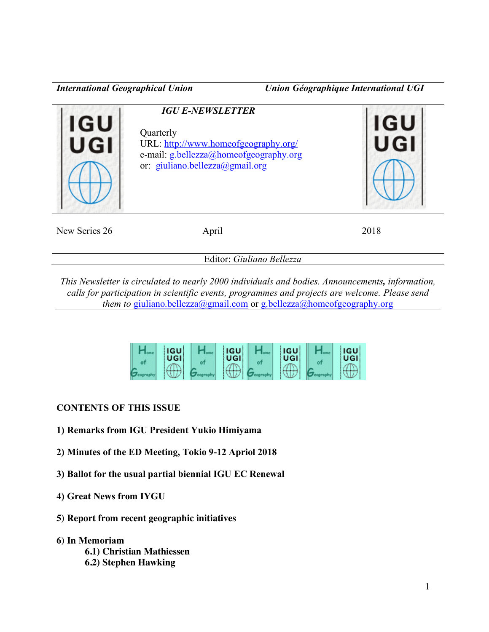*International Geographical Union Union Géographique International UGI*

| IGU           | <b>IGU E-NEWSLETTER</b><br>Quarterly<br>URL: http://www.homeofgeography.org/<br>e-mail: g.bellezza@homeofgeography.org<br>or: giuliano.bellezza@gmail.org | <b>IGU</b> |
|---------------|-----------------------------------------------------------------------------------------------------------------------------------------------------------|------------|
| New Series 26 | April                                                                                                                                                     | 2018       |

Editor: *Giuliano Bellezza*

*This Newsletter is circulated to nearly 2000 individuals and bodies. Announcements, information, calls for participation in scientific events, programmes and projects are welcome. Please send them to* giuliano.bellezza@gmail.com or g.bellezza@homeofgeography.org



# **CONTENTS OF THIS ISSUE**

- **1) Remarks from IGU President Yukio Himiyama**
- **2) Minutes of the ED Meeting, Tokio 9-12 Apriol 2018**
- **3) Ballot for the usual partial biennial IGU EC Renewal**
- **4) Great News from IYGU**
- **5) Report from recent geographic initiatives**
- **6) In Memoriam**
	- **6.1) Christian Mathiessen**
	- **6.2) Stephen Hawking**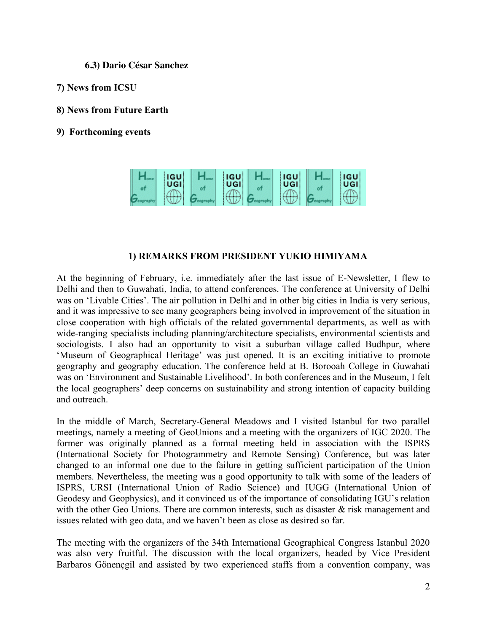**6.3) Dario César Sanchez**

- **7) News from ICSU**
- **8) News from Future Earth**
- **9) Forthcoming events**



### **1) REMARKS FROM PRESIDENT YUKIO HIMIYAMA**

At the beginning of February, i.e. immediately after the last issue of E-Newsletter, I flew to Delhi and then to Guwahati, India, to attend conferences. The conference at University of Delhi was on 'Livable Cities'. The air pollution in Delhi and in other big cities in India is very serious, and it was impressive to see many geographers being involved in improvement of the situation in close cooperation with high officials of the related governmental departments, as well as with wide-ranging specialists including planning/architecture specialists, environmental scientists and sociologists. I also had an opportunity to visit a suburban village called Budhpur, where 'Museum of Geographical Heritage' was just opened. It is an exciting initiative to promote geography and geography education. The conference held at B. Borooah College in Guwahati was on 'Environment and Sustainable Livelihood'. In both conferences and in the Museum, I felt the local geographers' deep concerns on sustainability and strong intention of capacity building and outreach.

In the middle of March, Secretary-General Meadows and I visited Istanbul for two parallel meetings, namely a meeting of GeoUnions and a meeting with the organizers of IGC 2020. The former was originally planned as a formal meeting held in association with the ISPRS (International Society for Photogrammetry and Remote Sensing) Conference, but was later changed to an informal one due to the failure in getting sufficient participation of the Union members. Nevertheless, the meeting was a good opportunity to talk with some of the leaders of ISPRS, URSI (International Union of Radio Science) and IUGG (International Union of Geodesy and Geophysics), and it convinced us of the importance of consolidating IGU's relation with the other Geo Unions. There are common interests, such as disaster & risk management and issues related with geo data, and we haven't been as close as desired so far.

The meeting with the organizers of the 34th International Geographical Congress Istanbul 2020 was also very fruitful. The discussion with the local organizers, headed by Vice President Barbaros Gönençgil and assisted by two experienced staffs from a convention company, was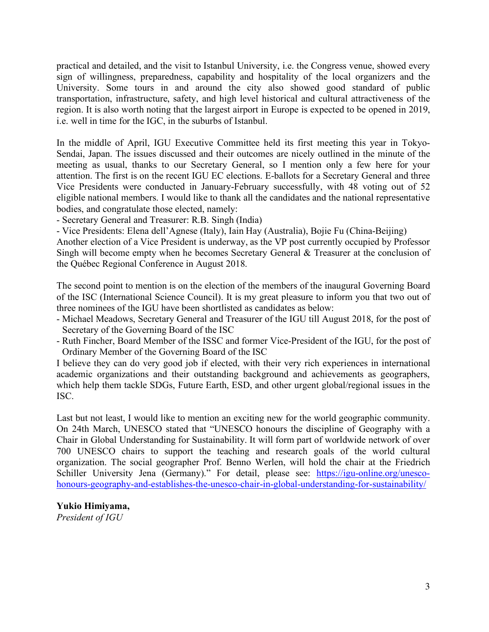practical and detailed, and the visit to Istanbul University, i.e. the Congress venue, showed every sign of willingness, preparedness, capability and hospitality of the local organizers and the University. Some tours in and around the city also showed good standard of public transportation, infrastructure, safety, and high level historical and cultural attractiveness of the region. It is also worth noting that the largest airport in Europe is expected to be opened in 2019, i.e. well in time for the IGC, in the suburbs of Istanbul.

In the middle of April, IGU Executive Committee held its first meeting this year in Tokyo-Sendai, Japan. The issues discussed and their outcomes are nicely outlined in the minute of the meeting as usual, thanks to our Secretary General, so I mention only a few here for your attention. The first is on the recent IGU EC elections. E-ballots for a Secretary General and three Vice Presidents were conducted in January-February successfully, with 48 voting out of 52 eligible national members. I would like to thank all the candidates and the national representative bodies, and congratulate those elected, namely:

- Secretary General and Treasurer: R.B. Singh (India)

- Vice Presidents: Elena dell'Agnese (Italy), Iain Hay (Australia), Bojie Fu (China-Beijing)

Another election of a Vice President is underway, as the VP post currently occupied by Professor Singh will become empty when he becomes Secretary General & Treasurer at the conclusion of the Québec Regional Conference in August 2018.

The second point to mention is on the election of the members of the inaugural Governing Board of the ISC (International Science Council). It is my great pleasure to inform you that two out of three nominees of the IGU have been shortlisted as candidates as below:

- Michael Meadows, Secretary General and Treasurer of the IGU till August 2018, for the post of Secretary of the Governing Board of the ISC
- Ruth Fincher, Board Member of the ISSC and former Vice-President of the IGU, for the post of Ordinary Member of the Governing Board of the ISC

I believe they can do very good job if elected, with their very rich experiences in international academic organizations and their outstanding background and achievements as geographers, which help them tackle SDGs, Future Earth, ESD, and other urgent global/regional issues in the ISC.

Last but not least, I would like to mention an exciting new for the world geographic community. On 24th March, UNESCO stated that "UNESCO honours the discipline of Geography with a Chair in Global Understanding for Sustainability. It will form part of worldwide network of over 700 UNESCO chairs to support the teaching and research goals of the world cultural organization. The social geographer Prof. Benno Werlen, will hold the chair at the Friedrich Schiller University Jena (Germany)." For detail, please see: https://igu-online.org/unescohonours-geography-and-establishes-the-unesco-chair-in-global-understanding-for-sustainability/

#### **Yukio Himiyama,**

*President of IGU*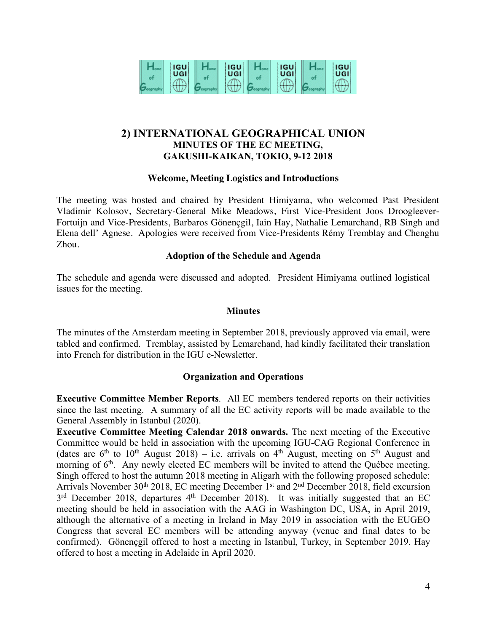

# **2) INTERNATIONAL GEOGRAPHICAL UNION MINUTES OF THE EC MEETING, GAKUSHI-KAIKAN, TOKIO, 9-12 2018**

#### **Welcome, Meeting Logistics and Introductions**

The meeting was hosted and chaired by President Himiyama, who welcomed Past President Vladimir Kolosov, Secretary-General Mike Meadows, First Vice-President Joos Droogleever-Fortuijn and Vice-Presidents, Barbaros Gönençgil, Iain Hay, Nathalie Lemarchand, RB Singh and Elena dell' Agnese. Apologies were received from Vice-Presidents Rémy Tremblay and Chenghu Zhou.

#### **Adoption of the Schedule and Agenda**

The schedule and agenda were discussed and adopted. President Himiyama outlined logistical issues for the meeting.

#### **Minutes**

The minutes of the Amsterdam meeting in September 2018, previously approved via email, were tabled and confirmed. Tremblay, assisted by Lemarchand, had kindly facilitated their translation into French for distribution in the IGU e-Newsletter.

#### **Organization and Operations**

**Executive Committee Member Reports**. All EC members tendered reports on their activities since the last meeting. A summary of all the EC activity reports will be made available to the General Assembly in Istanbul (2020).

**Executive Committee Meeting Calendar 2018 onwards.** The next meeting of the Executive Committee would be held in association with the upcoming IGU-CAG Regional Conference in (dates are  $6<sup>th</sup>$  to 10<sup>th</sup> August 2018) – i.e. arrivals on  $4<sup>th</sup>$  August, meeting on  $5<sup>th</sup>$  August and morning of 6<sup>th</sup>. Any newly elected EC members will be invited to attend the Québec meeting. Singh offered to host the autumn 2018 meeting in Aligarh with the following proposed schedule: Arrivals November 30<sup>th</sup> 2018, EC meeting December 1<sup>st</sup> and  $2<sup>nd</sup>$  December 2018, field excursion  $3<sup>rd</sup>$  December 2018, departures  $4<sup>th</sup>$  December 2018). It was initially suggested that an EC meeting should be held in association with the AAG in Washington DC, USA, in April 2019, although the alternative of a meeting in Ireland in May 2019 in association with the EUGEO Congress that several EC members will be attending anyway (venue and final dates to be confirmed). Gönençgil offered to host a meeting in Istanbul, Turkey, in September 2019. Hay offered to host a meeting in Adelaide in April 2020.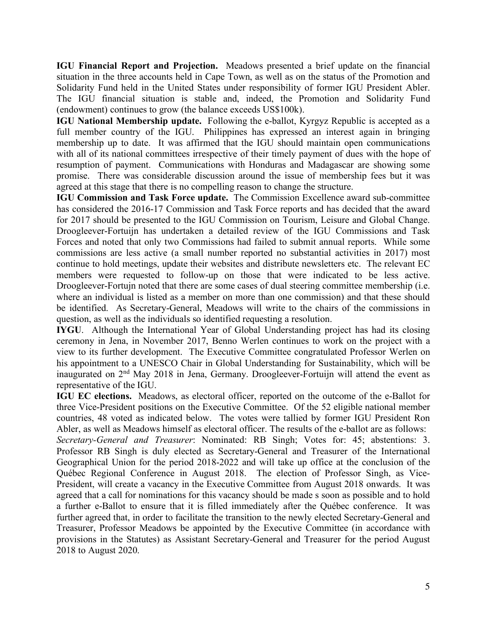**IGU Financial Report and Projection.** Meadows presented a brief update on the financial situation in the three accounts held in Cape Town, as well as on the status of the Promotion and Solidarity Fund held in the United States under responsibility of former IGU President Abler. The IGU financial situation is stable and, indeed, the Promotion and Solidarity Fund (endowment) continues to grow (the balance exceeds US\$100k).

**IGU National Membership update.** Following the e-ballot, Kyrgyz Republic is accepted as a full member country of the IGU. Philippines has expressed an interest again in bringing membership up to date. It was affirmed that the IGU should maintain open communications with all of its national committees irrespective of their timely payment of dues with the hope of resumption of payment. Communications with Honduras and Madagascar are showing some promise. There was considerable discussion around the issue of membership fees but it was agreed at this stage that there is no compelling reason to change the structure.

**IGU Commission and Task Force update.** The Commission Excellence award sub-committee has considered the 2016-17 Commission and Task Force reports and has decided that the award for 2017 should be presented to the IGU Commission on Tourism, Leisure and Global Change. Droogleever-Fortuijn has undertaken a detailed review of the IGU Commissions and Task Forces and noted that only two Commissions had failed to submit annual reports. While some commissions are less active (a small number reported no substantial activities in 2017) most continue to hold meetings, update their websites and distribute newsletters etc. The relevant EC members were requested to follow-up on those that were indicated to be less active. Droogleever-Fortujn noted that there are some cases of dual steering committee membership (i.e. where an individual is listed as a member on more than one commission) and that these should be identified. As Secretary-General, Meadows will write to the chairs of the commissions in question, as well as the individuals so identified requesting a resolution.

**IYGU**. Although the International Year of Global Understanding project has had its closing ceremony in Jena, in November 2017, Benno Werlen continues to work on the project with a view to its further development. The Executive Committee congratulated Professor Werlen on his appointment to a UNESCO Chair in Global Understanding for Sustainability, which will be inaugurated on 2nd May 2018 in Jena, Germany. Droogleever-Fortuijn will attend the event as representative of the IGU.

**IGU EC elections.** Meadows, as electoral officer, reported on the outcome of the e-Ballot for three Vice-President positions on the Executive Committee. Of the 52 eligible national member countries, 48 voted as indicated below. The votes were tallied by former IGU President Ron Abler, as well as Meadows himself as electoral officer. The results of the e-ballot are as follows: *Secretary-General and Treasurer*: Nominated: RB Singh; Votes for: 45; abstentions: 3. Professor RB Singh is duly elected as Secretary-General and Treasurer of the International Geographical Union for the period 2018-2022 and will take up office at the conclusion of the Québec Regional Conference in August 2018. The election of Professor Singh, as Vice-President, will create a vacancy in the Executive Committee from August 2018 onwards. It was agreed that a call for nominations for this vacancy should be made s soon as possible and to hold a further e-Ballot to ensure that it is filled immediately after the Québec conference. It was further agreed that, in order to facilitate the transition to the newly elected Secretary-General and Treasurer, Professor Meadows be appointed by the Executive Committee (in accordance with provisions in the Statutes) as Assistant Secretary-General and Treasurer for the period August 2018 to August 2020.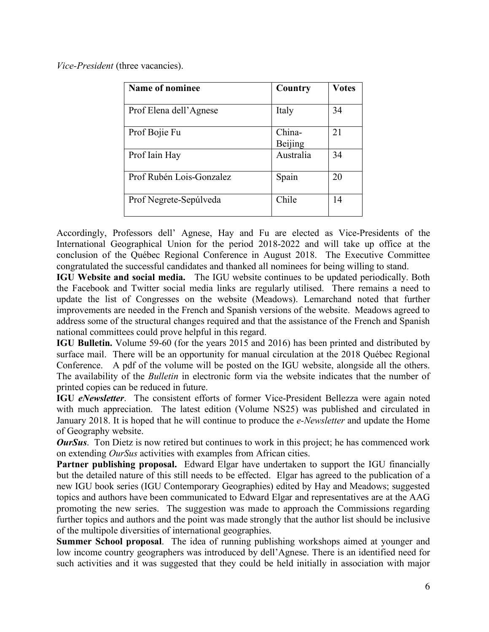*Vice-President* (three vacancies).

| Name of nominee          | Country           | <b>Votes</b> |
|--------------------------|-------------------|--------------|
| Prof Elena dell'Agnese   | Italy             | 34           |
| Prof Bojie Fu            | China-<br>Beijing | 21           |
| Prof Iain Hay            | Australia         | 34           |
| Prof Rubén Lois-Gonzalez | Spain             | 20           |
| Prof Negrete-Sepúlveda   | Chile             | 14           |

Accordingly, Professors dell' Agnese, Hay and Fu are elected as Vice-Presidents of the International Geographical Union for the period 2018-2022 and will take up office at the conclusion of the Québec Regional Conference in August 2018. The Executive Committee congratulated the successful candidates and thanked all nominees for being willing to stand.

**IGU Website and social media.** The IGU website continues to be updated periodically. Both the Facebook and Twitter social media links are regularly utilised. There remains a need to update the list of Congresses on the website (Meadows). Lemarchand noted that further improvements are needed in the French and Spanish versions of the website. Meadows agreed to address some of the structural changes required and that the assistance of the French and Spanish national committees could prove helpful in this regard.

**IGU Bulletin.** Volume 59-60 (for the years 2015 and 2016) has been printed and distributed by surface mail. There will be an opportunity for manual circulation at the 2018 Québec Regional Conference. A pdf of the volume will be posted on the IGU website, alongside all the others. The availability of the *Bulletin* in electronic form via the website indicates that the number of printed copies can be reduced in future.

**IGU** *eNewsletter*. The consistent efforts of former Vice-President Bellezza were again noted with much appreciation. The latest edition (Volume NS25) was published and circulated in January 2018. It is hoped that he will continue to produce the *e-Newsletter* and update the Home of Geography website.

*OurSus*. Ton Dietz is now retired but continues to work in this project; he has commenced work on extending *OurSus* activities with examples from African cities.

**Partner publishing proposal.** Edward Elgar have undertaken to support the IGU financially but the detailed nature of this still needs to be effected. Elgar has agreed to the publication of a new IGU book series (IGU Contemporary Geographies) edited by Hay and Meadows; suggested topics and authors have been communicated to Edward Elgar and representatives are at the AAG promoting the new series. The suggestion was made to approach the Commissions regarding further topics and authors and the point was made strongly that the author list should be inclusive of the multipole diversities of international geographies.

**Summer School proposal**. The idea of running publishing workshops aimed at younger and low income country geographers was introduced by dell'Agnese. There is an identified need for such activities and it was suggested that they could be held initially in association with major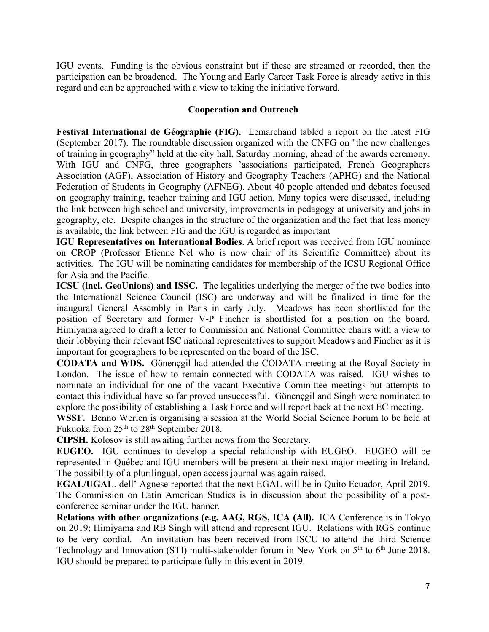IGU events. Funding is the obvious constraint but if these are streamed or recorded, then the participation can be broadened. The Young and Early Career Task Force is already active in this regard and can be approached with a view to taking the initiative forward.

### **Cooperation and Outreach**

**Festival International de Géographie (FIG).** Lemarchand tabled a report on the latest FIG (September 2017). The roundtable discussion organized with the CNFG on "the new challenges of training in geography" held at the city hall, Saturday morning, ahead of the awards ceremony. With IGU and CNFG, three geographers 'associations participated, French Geographers Association (AGF), Association of History and Geography Teachers (APHG) and the National Federation of Students in Geography (AFNEG). About 40 people attended and debates focused on geography training, teacher training and IGU action. Many topics were discussed, including the link between high school and university, improvements in pedagogy at university and jobs in geography, etc. Despite changes in the structure of the organization and the fact that less money is available, the link between FIG and the IGU is regarded as important

**IGU Representatives on International Bodies**. A brief report was received from IGU nominee on CROP (Professor Etienne Nel who is now chair of its Scientific Committee) about its activities. The IGU will be nominating candidates for membership of the ICSU Regional Office for Asia and the Pacific.

**ICSU (incl. GeoUnions) and ISSC.** The legalities underlying the merger of the two bodies into the International Science Council (ISC) are underway and will be finalized in time for the inaugural General Assembly in Paris in early July. Meadows has been shortlisted for the position of Secretary and former V-P Fincher is shortlisted for a position on the board. Himiyama agreed to draft a letter to Commission and National Committee chairs with a view to their lobbying their relevant ISC national representatives to support Meadows and Fincher as it is important for geographers to be represented on the board of the ISC.

**CODATA and WDS.** Gönençgil had attended the CODATA meeting at the Royal Society in London. The issue of how to remain connected with CODATA was raised. IGU wishes to nominate an individual for one of the vacant Executive Committee meetings but attempts to contact this individual have so far proved unsuccessful. Gönençgil and Singh were nominated to explore the possibility of establishing a Task Force and will report back at the next EC meeting.

**WSSF.** Benno Werlen is organising a session at the World Social Science Forum to be held at Fukuoka from 25th to 28th September 2018.

**CIPSH.** Kolosov is still awaiting further news from the Secretary.

**EUGEO.** IGU continues to develop a special relationship with EUGEO. EUGEO will be represented in Québec and IGU members will be present at their next major meeting in Ireland. The possibility of a plurilingual, open access journal was again raised.

**EGAL/UGAL**. dell' Agnese reported that the next EGAL will be in Quito Ecuador, April 2019. The Commission on Latin American Studies is in discussion about the possibility of a postconference seminar under the IGU banner.

**Relations with other organizations (e.g. AAG, RGS, ICA (All).** ICA Conference is in Tokyo on 2019; Himiyama and RB Singh will attend and represent IGU. Relations with RGS continue to be very cordial. An invitation has been received from ISCU to attend the third Science Technology and Innovation (STI) multi-stakeholder forum in New York on  $5<sup>th</sup>$  to  $6<sup>th</sup>$  June 2018. IGU should be prepared to participate fully in this event in 2019.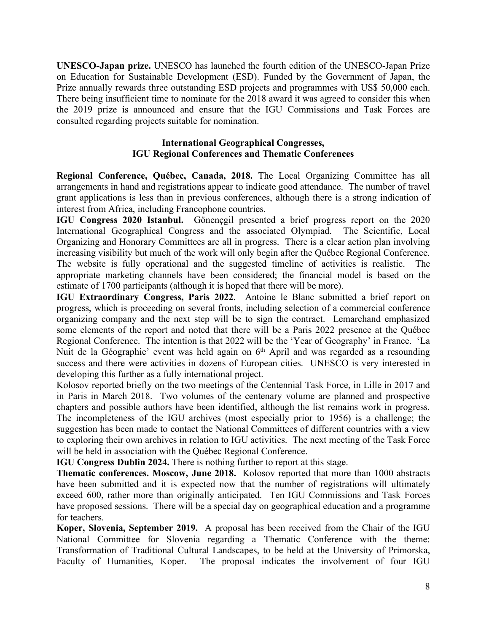**UNESCO-Japan prize.** UNESCO has launched the fourth edition of the UNESCO-Japan Prize on Education for Sustainable Development (ESD). Funded by the Government of Japan, the Prize annually rewards three outstanding ESD projects and programmes with US\$ 50,000 each. There being insufficient time to nominate for the 2018 award it was agreed to consider this when the 2019 prize is announced and ensure that the IGU Commissions and Task Forces are consulted regarding projects suitable for nomination.

#### **International Geographical Congresses, IGU Regional Conferences and Thematic Conferences**

**Regional Conference, Québec, Canada, 2018.** The Local Organizing Committee has all arrangements in hand and registrations appear to indicate good attendance. The number of travel grant applications is less than in previous conferences, although there is a strong indication of interest from Africa, including Francophone countries.

**IGU Congress 2020 Istanbul.** Gönençgil presented a brief progress report on the 2020 International Geographical Congress and the associated Olympiad. The Scientific, Local Organizing and Honorary Committees are all in progress. There is a clear action plan involving increasing visibility but much of the work will only begin after the Québec Regional Conference. The website is fully operational and the suggested timeline of activities is realistic. The appropriate marketing channels have been considered; the financial model is based on the estimate of 1700 participants (although it is hoped that there will be more).

**IGU Extraordinary Congress, Paris 2022**.Antoine le Blanc submitted a brief report on progress, which is proceeding on several fronts, including selection of a commercial conference organizing company and the next step will be to sign the contract. Lemarchand emphasized some elements of the report and noted that there will be a Paris 2022 presence at the Québec Regional Conference. The intention is that 2022 will be the 'Year of Geography' in France. 'La Nuit de la Géographie' event was held again on 6<sup>th</sup> April and was regarded as a resounding success and there were activities in dozens of European cities. UNESCO is very interested in developing this further as a fully international project.

Kolosov reported briefly on the two meetings of the Centennial Task Force, in Lille in 2017 and in Paris in March 2018. Two volumes of the centenary volume are planned and prospective chapters and possible authors have been identified, although the list remains work in progress. The incompleteness of the IGU archives (most especially prior to 1956) is a challenge; the suggestion has been made to contact the National Committees of different countries with a view to exploring their own archives in relation to IGU activities. The next meeting of the Task Force will be held in association with the Québec Regional Conference.

**IGU Congress Dublin 2024.** There is nothing further to report at this stage.

**Thematic conferences. Moscow, June 2018.** Kolosov reported that more than 1000 abstracts have been submitted and it is expected now that the number of registrations will ultimately exceed 600, rather more than originally anticipated. Ten IGU Commissions and Task Forces have proposed sessions. There will be a special day on geographical education and a programme for teachers.

**Koper, Slovenia, September 2019.** A proposal has been received from the Chair of the IGU National Committee for Slovenia regarding a Thematic Conference with the theme: Transformation of Traditional Cultural Landscapes, to be held at the University of Primorska, Faculty of Humanities, Koper. The proposal indicates the involvement of four IGU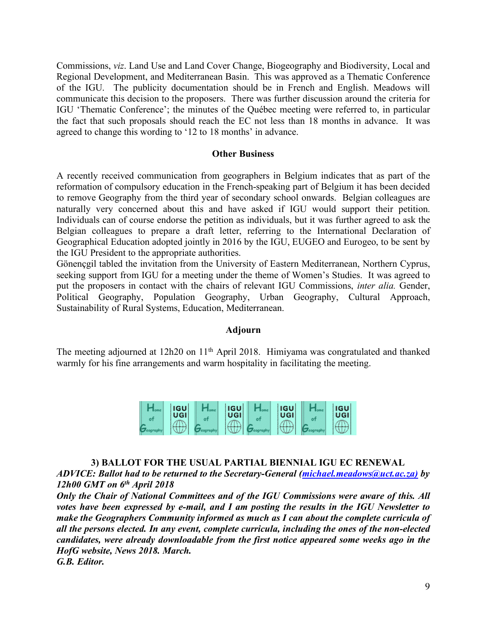Commissions, *viz*. Land Use and Land Cover Change, Biogeography and Biodiversity, Local and Regional Development, and Mediterranean Basin. This was approved as a Thematic Conference of the IGU. The publicity documentation should be in French and English. Meadows will communicate this decision to the proposers. There was further discussion around the criteria for IGU 'Thematic Conference'; the minutes of the Québec meeting were referred to, in particular the fact that such proposals should reach the EC not less than 18 months in advance. It was agreed to change this wording to '12 to 18 months' in advance.

#### **Other Business**

A recently received communication from geographers in Belgium indicates that as part of the reformation of compulsory education in the French-speaking part of Belgium it has been decided to remove Geography from the third year of secondary school onwards. Belgian colleagues are naturally very concerned about this and have asked if IGU would support their petition. Individuals can of course endorse the petition as individuals, but it was further agreed to ask the Belgian colleagues to prepare a draft letter, referring to the International Declaration of Geographical Education adopted jointly in 2016 by the IGU, EUGEO and Eurogeo, to be sent by the IGU President to the appropriate authorities.

Gönençgil tabled the invitation from the University of Eastern Mediterranean, Northern Cyprus, seeking support from IGU for a meeting under the theme of Women's Studies. It was agreed to put the proposers in contact with the chairs of relevant IGU Commissions, *inter alia.* Gender, Political Geography, Population Geography, Urban Geography, Cultural Approach, Sustainability of Rural Systems, Education, Mediterranean.

#### **Adjourn**

The meeting adjourned at 12h20 on 11<sup>th</sup> April 2018. Himiyama was congratulated and thanked warmly for his fine arrangements and warm hospitality in facilitating the meeting.

|  | <b>IGU</b> | <b>IGU</b> | <b>IGU</b> | <b>IGU</b> |
|--|------------|------------|------------|------------|
|  | UGI        | UGI        | <b>UGI</b> | UGI        |
|  | $-$        |            | .          |            |

#### **3) BALLOT FOR THE USUAL PARTIAL BIENNIAL IGU EC RENEWAL**

*ADVICE: Ballot had to be returned to the Secretary-General (michael.meadows@uct.ac.za) by 12h00 GMT on 6th April 2018*

*Only the Chair of National Committees and of the IGU Commissions were aware of this. All votes have been expressed by e-mail, and I am posting the results in the IGU Newsletter to make the Geographers Community informed as much as I can about the complete curricula of all the persons elected. In any event, complete curricula, including the ones of the non-elected candidates, were already downloadable from the first notice appeared some weeks ago in the HofG website, News 2018. March.*

*G.B. Editor.*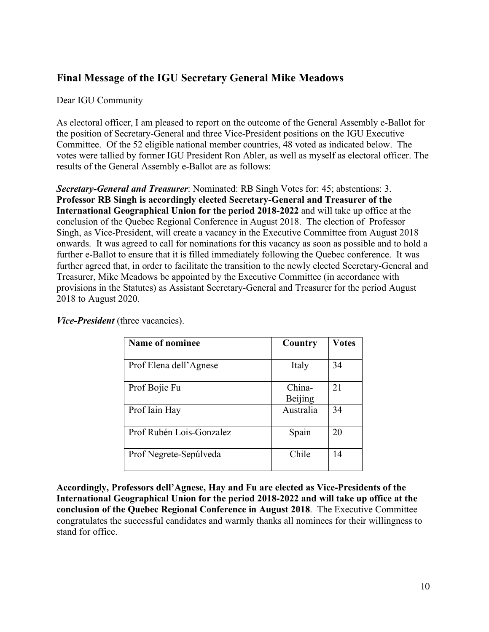# **Final Message of the IGU Secretary General Mike Meadows**

Dear IGU Community

As electoral officer, I am pleased to report on the outcome of the General Assembly e-Ballot for the position of Secretary-General and three Vice-President positions on the IGU Executive Committee. Of the 52 eligible national member countries, 48 voted as indicated below. The votes were tallied by former IGU President Ron Abler, as well as myself as electoral officer. The results of the General Assembly e-Ballot are as follows:

*Secretary-General and Treasurer*: Nominated: RB Singh Votes for: 45; abstentions: 3. **Professor RB Singh is accordingly elected Secretary-General and Treasurer of the International Geographical Union for the period 2018-2022** and will take up office at the conclusion of the Quebec Regional Conference in August 2018. The election of Professor Singh, as Vice-President, will create a vacancy in the Executive Committee from August 2018 onwards. It was agreed to call for nominations for this vacancy as soon as possible and to hold a further e-Ballot to ensure that it is filled immediately following the Quebec conference. It was further agreed that, in order to facilitate the transition to the newly elected Secretary-General and Treasurer, Mike Meadows be appointed by the Executive Committee (in accordance with provisions in the Statutes) as Assistant Secretary-General and Treasurer for the period August 2018 to August 2020.

| Name of nominee          | Country           | <b>Votes</b> |
|--------------------------|-------------------|--------------|
| Prof Elena dell'Agnese   | Italy             | 34           |
| Prof Bojie Fu            | China-<br>Beijing | 21           |
| Prof Iain Hay            | Australia         | 34           |
| Prof Rubén Lois-Gonzalez | Spain             | 20           |
| Prof Negrete-Sepúlveda   | Chile             | 14           |

*Vice-President* (three vacancies).

**Accordingly, Professors dell'Agnese, Hay and Fu are elected as Vice-Presidents of the International Geographical Union for the period 2018-2022 and will take up office at the conclusion of the Quebec Regional Conference in August 2018**. The Executive Committee congratulates the successful candidates and warmly thanks all nominees for their willingness to stand for office.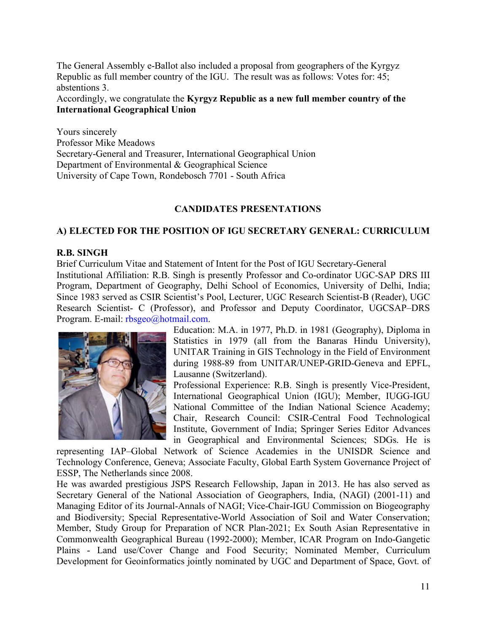The General Assembly e-Ballot also included a proposal from geographers of the Kyrgyz Republic as full member country of the IGU. The result was as follows: Votes for: 45; abstentions 3.

## Accordingly, we congratulate the **Kyrgyz Republic as a new full member country of the International Geographical Union**

Yours sincerely Professor Mike Meadows Secretary-General and Treasurer, International Geographical Union Department of Environmental & Geographical Science University of Cape Town, Rondebosch 7701 - South Africa

#### **CANDIDATES PRESENTATIONS**

### **A) ELECTED FOR THE POSITION OF IGU SECRETARY GENERAL: CURRICULUM**

#### **R.B. SINGH**

Brief Curriculum Vitae and Statement of Intent for the Post of IGU Secretary-General Institutional Affiliation: R.B. Singh is presently Professor and Co-ordinator UGC-SAP DRS III Program, Department of Geography, Delhi School of Economics, University of Delhi, India; Since 1983 served as CSIR Scientist's Pool, Lecturer, UGC Research Scientist-B (Reader), UGC Research Scientist- C (Professor), and Professor and Deputy Coordinator, UGCSAP–DRS Program. E-mail: rbsgeo@hotmail.com.



Education: M.A. in 1977, Ph.D. in 1981 (Geography), Diploma in Statistics in 1979 (all from the Banaras Hindu University), UNITAR Training in GIS Technology in the Field of Environment during 1988-89 from UNITAR/UNEP-GRID-Geneva and EPFL, Lausanne (Switzerland).

Professional Experience: R.B. Singh is presently Vice-President, International Geographical Union (IGU); Member, IUGG-IGU National Committee of the Indian National Science Academy; Chair, Research Council: CSIR-Central Food Technological Institute, Government of India; Springer Series Editor Advances in Geographical and Environmental Sciences; SDGs. He is

representing IAP–Global Network of Science Academies in the UNISDR Science and Technology Conference, Geneva; Associate Faculty, Global Earth System Governance Project of ESSP, The Netherlands since 2008.

He was awarded prestigious JSPS Research Fellowship, Japan in 2013. He has also served as Secretary General of the National Association of Geographers, India, (NAGI) (2001-11) and Managing Editor of its Journal-Annals of NAGI; Vice-Chair-IGU Commission on Biogeography and Biodiversity; Special Representative-World Association of Soil and Water Conservation; Member, Study Group for Preparation of NCR Plan-2021; Ex South Asian Representative in Commonwealth Geographical Bureau (1992-2000); Member, ICAR Program on Indo-Gangetic Plains - Land use/Cover Change and Food Security; Nominated Member, Curriculum Development for Geoinformatics jointly nominated by UGC and Department of Space, Govt. of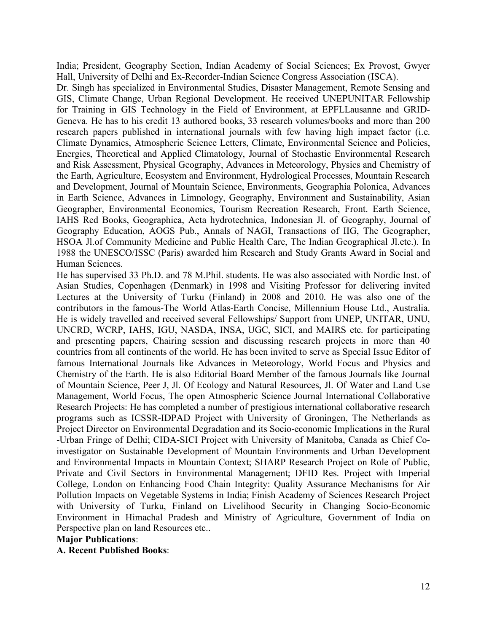India; President, Geography Section, Indian Academy of Social Sciences; Ex Provost, Gwyer Hall, University of Delhi and Ex-Recorder-Indian Science Congress Association (ISCA).

Dr. Singh has specialized in Environmental Studies, Disaster Management, Remote Sensing and GIS, Climate Change, Urban Regional Development. He received UNEPUNITAR Fellowship for Training in GIS Technology in the Field of Environment, at EPFLLausanne and GRID-Geneva. He has to his credit 13 authored books, 33 research volumes/books and more than 200 research papers published in international journals with few having high impact factor (i.e. Climate Dynamics, Atmospheric Science Letters, Climate, Environmental Science and Policies, Energies, Theoretical and Applied Climatology, Journal of Stochastic Environmental Research and Risk Assessment, Physical Geography, Advances in Meteorology, Physics and Chemistry of the Earth, Agriculture, Ecosystem and Environment, Hydrological Processes, Mountain Research and Development, Journal of Mountain Science, Environments, Geographia Polonica, Advances in Earth Science, Advances in Limnology, Geography, Environment and Sustainability, Asian Geographer, Environmental Economics, Tourism Recreation Research, Front. Earth Science, IAHS Red Books, Geographica, Acta hydrotechnica, Indonesian Jl. of Geography, Journal of Geography Education, AOGS Pub., Annals of NAGI, Transactions of IIG, The Geographer, HSOA Jl.of Community Medicine and Public Health Care, The Indian Geographical Jl.etc.). In 1988 the UNESCO/ISSC (Paris) awarded him Research and Study Grants Award in Social and Human Sciences.

He has supervised 33 Ph.D. and 78 M.Phil. students. He was also associated with Nordic Inst. of Asian Studies, Copenhagen (Denmark) in 1998 and Visiting Professor for delivering invited Lectures at the University of Turku (Finland) in 2008 and 2010. He was also one of the contributors in the famous-The World Atlas-Earth Concise, Millennium House Ltd., Australia. He is widely travelled and received several Fellowships/ Support from UNEP, UNITAR, UNU, UNCRD, WCRP, IAHS, IGU, NASDA, INSA, UGC, SICI, and MAIRS etc. for participating and presenting papers, Chairing session and discussing research projects in more than 40 countries from all continents of the world. He has been invited to serve as Special Issue Editor of famous International Journals like Advances in Meteorology, World Focus and Physics and Chemistry of the Earth. He is also Editorial Board Member of the famous Journals like Journal of Mountain Science, Peer J, Jl. Of Ecology and Natural Resources, Jl. Of Water and Land Use Management, World Focus, The open Atmospheric Science Journal International Collaborative Research Projects: He has completed a number of prestigious international collaborative research programs such as ICSSR-IDPAD Project with University of Groningen, The Netherlands as Project Director on Environmental Degradation and its Socio-economic Implications in the Rural -Urban Fringe of Delhi; CIDA-SICI Project with University of Manitoba, Canada as Chief Coinvestigator on Sustainable Development of Mountain Environments and Urban Development and Environmental Impacts in Mountain Context; SHARP Research Project on Role of Public, Private and Civil Sectors in Environmental Management; DFID Res. Project with Imperial College, London on Enhancing Food Chain Integrity: Quality Assurance Mechanisms for Air Pollution Impacts on Vegetable Systems in India; Finish Academy of Sciences Research Project with University of Turku, Finland on Livelihood Security in Changing Socio-Economic Environment in Himachal Pradesh and Ministry of Agriculture, Government of India on Perspective plan on land Resources etc..

#### **Major Publications**:

**A. Recent Published Books**: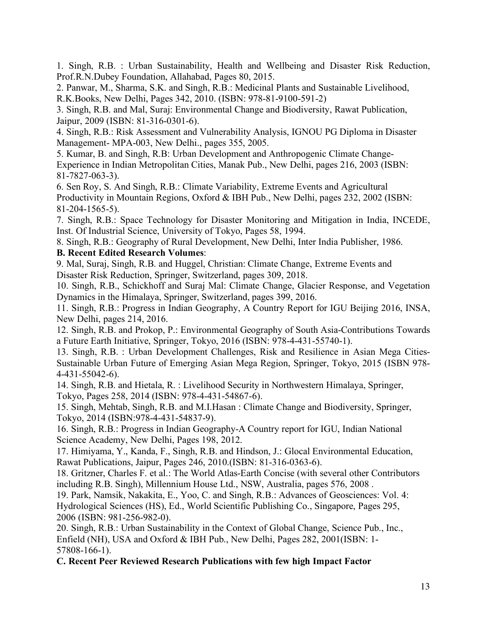1. Singh, R.B. : Urban Sustainability, Health and Wellbeing and Disaster Risk Reduction, Prof.R.N.Dubey Foundation, Allahabad, Pages 80, 2015.

2. Panwar, M., Sharma, S.K. and Singh, R.B.: Medicinal Plants and Sustainable Livelihood, R.K.Books, New Delhi, Pages 342, 2010. (ISBN: 978-81-9100-591-2)

3. Singh, R.B. and Mal, Suraj: Environmental Change and Biodiversity, Rawat Publication, Jaipur, 2009 (ISBN: 81-316-0301-6).

4. Singh, R.B.: Risk Assessment and Vulnerability Analysis, IGNOU PG Diploma in Disaster Management- MPA-003, New Delhi., pages 355, 2005.

5. Kumar, B. and Singh, R.B: Urban Development and Anthropogenic Climate Change-Experience in Indian Metropolitan Cities, Manak Pub., New Delhi, pages 216, 2003 (ISBN: 81-7827-063-3).

6. Sen Roy, S. And Singh, R.B.: Climate Variability, Extreme Events and Agricultural Productivity in Mountain Regions, Oxford & IBH Pub., New Delhi, pages 232, 2002 (ISBN: 81-204-1565-5).

7. Singh, R.B.: Space Technology for Disaster Monitoring and Mitigation in India, INCEDE, Inst. Of Industrial Science, University of Tokyo, Pages 58, 1994.

8. Singh, R.B.: Geography of Rural Development, New Delhi, Inter India Publisher, 1986.

### **B. Recent Edited Research Volumes**:

9. Mal, Suraj, Singh, R.B. and Huggel, Christian: Climate Change, Extreme Events and Disaster Risk Reduction, Springer, Switzerland, pages 309, 2018.

10. Singh, R.B., Schickhoff and Suraj Mal: Climate Change, Glacier Response, and Vegetation Dynamics in the Himalaya, Springer, Switzerland, pages 399, 2016.

11. Singh, R.B.: Progress in Indian Geography, A Country Report for IGU Beijing 2016, INSA, New Delhi, pages 214, 2016.

12. Singh, R.B. and Prokop, P.: Environmental Geography of South Asia-Contributions Towards a Future Earth Initiative, Springer, Tokyo, 2016 (ISBN: 978-4-431-55740-1).

13. Singh, R.B. : Urban Development Challenges, Risk and Resilience in Asian Mega Cities-Sustainable Urban Future of Emerging Asian Mega Region, Springer, Tokyo, 2015 (ISBN 978- 4-431-55042-6).

14. Singh, R.B. and Hietala, R. : Livelihood Security in Northwestern Himalaya, Springer, Tokyo, Pages 258, 2014 (ISBN: 978-4-431-54867-6).

15. Singh, Mehtab, Singh, R.B. and M.I.Hasan : Climate Change and Biodiversity, Springer, Tokyo, 2014 (ISBN:978-4-431-54837-9).

16. Singh, R.B.: Progress in Indian Geography-A Country report for IGU, Indian National Science Academy, New Delhi, Pages 198, 2012.

17. Himiyama, Y., Kanda, F., Singh, R.B. and Hindson, J.: Glocal Environmental Education, Rawat Publications, Jaipur, Pages 246, 2010.(ISBN: 81-316-0363-6).

18. Gritzner, Charles F. et al.: The World Atlas-Earth Concise (with several other Contributors including R.B. Singh), Millennium House Ltd., NSW, Australia, pages 576, 2008 .

19. Park, Namsik, Nakakita, E., Yoo, C. and Singh, R.B.: Advances of Geosciences: Vol. 4: Hydrological Sciences (HS), Ed., World Scientific Publishing Co., Singapore, Pages 295, 2006 (ISBN: 981-256-982-0).

20. Singh, R.B.: Urban Sustainability in the Context of Global Change, Science Pub., Inc., Enfield (NH), USA and Oxford & IBH Pub., New Delhi, Pages 282, 2001(ISBN: 1- 57808-166-1).

#### **C. Recent Peer Reviewed Research Publications with few high Impact Factor**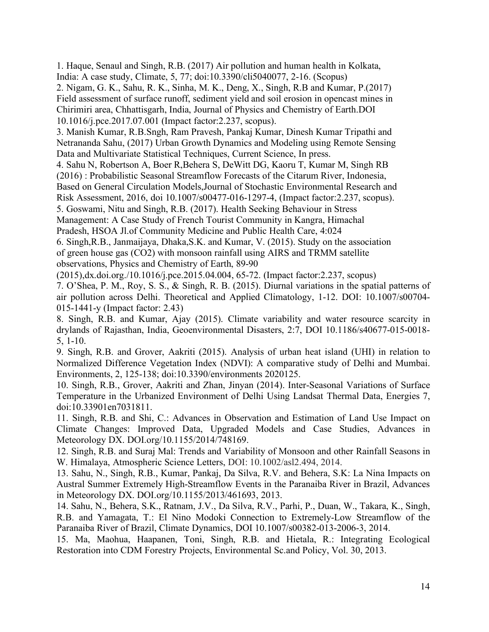1. Haque, Senaul and Singh, R.B. (2017) Air pollution and human health in Kolkata, India: A case study, Climate, 5, 77; doi:10.3390/cli5040077, 2-16. (Scopus)

2. Nigam, G. K., Sahu, R. K., Sinha, M. K., Deng, X., Singh, R.B and Kumar, P.(2017) Field assessment of surface runoff, sediment yield and soil erosion in opencast mines in Chirimiri area, Chhattisgarh, India, Journal of Physics and Chemistry of Earth.DOI 10.1016/j.pce.2017.07.001 (Impact factor:2.237, scopus).

3. Manish Kumar, R.B.Sngh, Ram Pravesh, Pankaj Kumar, Dinesh Kumar Tripathi and Netrananda Sahu, (2017) Urban Growth Dynamics and Modeling using Remote Sensing Data and Multivariate Statistical Techniques, Current Science, In press.

4. Sahu N, Robertson A, Boer R,Behera S, DeWitt DG, Kaoru T, Kumar M, Singh RB (2016) : Probabilistic Seasonal Streamflow Forecasts of the Citarum River, Indonesia, Based on General Circulation Models,Journal of Stochastic Environmental Research and

Risk Assessment, 2016, doi 10.1007/s00477-016-1297-4, (Impact factor:2.237, scopus).

5. Goswami, Nitu and Singh, R.B. (2017). Health Seeking Behaviour in Stress

Management: A Case Study of French Tourist Community in Kangra, Himachal

Pradesh, HSOA Jl.of Community Medicine and Public Health Care, 4:024

6. Singh,R.B., Janmaijaya, Dhaka,S.K. and Kumar, V. (2015). Study on the association of green house gas (CO2) with monsoon rainfall using AIRS and TRMM satellite observations, Physics and Chemistry of Earth, 89-90

(2015),dx.doi.org./10.1016/j.pce.2015.04.004, 65-72. (Impact factor:2.237, scopus)

7. O'Shea, P. M., Roy, S. S., & Singh, R. B. (2015). Diurnal variations in the spatial patterns of air pollution across Delhi. Theoretical and Applied Climatology, 1-12. DOI: 10.1007/s00704- 015-1441-y (Impact factor: 2.43)

8. Singh, R.B. and Kumar, Ajay (2015). Climate variability and water resource scarcity in drylands of Rajasthan, India, Geoenvironmental Disasters, 2:7, DOI 10.1186/s40677-015-0018- 5, 1-10.

9. Singh, R.B. and Grover, Aakriti (2015). Analysis of urban heat island (UHI) in relation to Normalized Difference Vegetation Index (NDVI): A comparative study of Delhi and Mumbai. Environments, 2, 125-138; doi:10.3390/environments 2020125.

10. Singh, R.B., Grover, Aakriti and Zhan, Jinyan (2014). Inter-Seasonal Variations of Surface Temperature in the Urbanized Environment of Delhi Using Landsat Thermal Data, Energies 7, doi:10.33901en7031811.

11. Singh, R.B. and Shi, C.: Advances in Observation and Estimation of Land Use Impact on Climate Changes: Improved Data, Upgraded Models and Case Studies, Advances in Meteorology DX. DOI.org/10.1155/2014/748169.

12. Singh, R.B. and Suraj Mal: Trends and Variability of Monsoon and other Rainfall Seasons in W. Himalaya, Atmospheric Science Letters, DOI: 10.1002/asl2.494, 2014.

13. Sahu, N., Singh, R.B., Kumar, Pankaj, Da Silva, R.V. and Behera, S.K: La Nina Impacts on Austral Summer Extremely High-Streamflow Events in the Paranaiba River in Brazil, Advances in Meteorology DX. DOI.org/10.1155/2013/461693, 2013.

14. Sahu, N., Behera, S.K., Ratnam, J.V., Da Silva, R.V., Parhi, P., Duan, W., Takara, K., Singh, R.B. and Yamagata, T.: El Nino Modoki Connection to Extremely-Low Streamflow of the Paranaiba River of Brazil, Climate Dynamics, DOI 10.1007/s00382-013-2006-3, 2014.

15. Ma, Maohua, Haapanen, Toni, Singh, R.B. and Hietala, R.: Integrating Ecological Restoration into CDM Forestry Projects, Environmental Sc.and Policy, Vol. 30, 2013.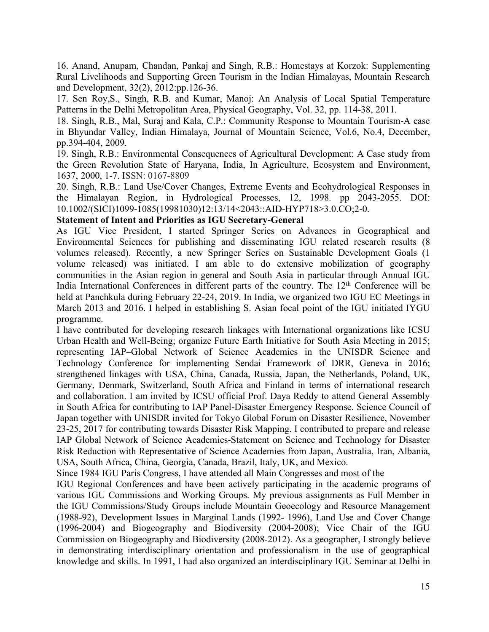16. Anand, Anupam, Chandan, Pankaj and Singh, R.B.: Homestays at Korzok: Supplementing Rural Livelihoods and Supporting Green Tourism in the Indian Himalayas, Mountain Research and Development, 32(2), 2012:pp.126-36.

17. Sen Roy,S., Singh, R.B. and Kumar, Manoj: An Analysis of Local Spatial Temperature Patterns in the Delhi Metropolitan Area, Physical Geography, Vol. 32, pp. 114-38, 2011.

18. Singh, R.B., Mal, Suraj and Kala, C.P.: Community Response to Mountain Tourism-A case in Bhyundar Valley, Indian Himalaya, Journal of Mountain Science, Vol.6, No.4, December, pp.394-404, 2009.

19. Singh, R.B.: Environmental Consequences of Agricultural Development: A Case study from the Green Revolution State of Haryana, India, In Agriculture, Ecosystem and Environment, 1637, 2000, 1-7. ISSN: 0167-8809

20. Singh, R.B.: Land Use/Cover Changes, Extreme Events and Ecohydrological Responses in the Himalayan Region, in Hydrological Processes, 12, 1998. pp 2043-2055. DOI: 10.1002/(SICI)1099-1085(19981030)12:13/14<2043::AID-HYP718>3.0.CO;2-0.

#### **Statement of Intent and Priorities as IGU Secretary-General**

As IGU Vice President, I started Springer Series on Advances in Geographical and Environmental Sciences for publishing and disseminating IGU related research results (8 volumes released). Recently, a new Springer Series on Sustainable Development Goals (1 volume released) was initiated. I am able to do extensive mobilization of geography communities in the Asian region in general and South Asia in particular through Annual IGU India International Conferences in different parts of the country. The 12<sup>th</sup> Conference will be held at Panchkula during February 22-24, 2019. In India, we organized two IGU EC Meetings in March 2013 and 2016. I helped in establishing S. Asian focal point of the IGU initiated IYGU programme.

I have contributed for developing research linkages with International organizations like ICSU Urban Health and Well-Being; organize Future Earth Initiative for South Asia Meeting in 2015; representing IAP–Global Network of Science Academies in the UNISDR Science and Technology Conference for implementing Sendai Framework of DRR, Geneva in 2016; strengthened linkages with USA, China, Canada, Russia, Japan, the Netherlands, Poland, UK, Germany, Denmark, Switzerland, South Africa and Finland in terms of international research and collaboration. I am invited by ICSU official Prof. Daya Reddy to attend General Assembly in South Africa for contributing to IAP Panel-Disaster Emergency Response. Science Council of Japan together with UNISDR invited for Tokyo Global Forum on Disaster Resilience, November 23-25, 2017 for contributing towards Disaster Risk Mapping. I contributed to prepare and release IAP Global Network of Science Academies-Statement on Science and Technology for Disaster Risk Reduction with Representative of Science Academies from Japan, Australia, Iran, Albania, USA, South Africa, China, Georgia, Canada, Brazil, Italy, UK, and Mexico.

Since 1984 IGU Paris Congress, I have attended all Main Congresses and most of the

IGU Regional Conferences and have been actively participating in the academic programs of various IGU Commissions and Working Groups. My previous assignments as Full Member in the IGU Commissions/Study Groups include Mountain Geoecology and Resource Management (1988-92), Development Issues in Marginal Lands (1992- 1996), Land Use and Cover Change (1996-2004) and Biogeography and Biodiversity (2004-2008); Vice Chair of the IGU Commission on Biogeography and Biodiversity (2008-2012). As a geographer, I strongly believe in demonstrating interdisciplinary orientation and professionalism in the use of geographical knowledge and skills. In 1991, I had also organized an interdisciplinary IGU Seminar at Delhi in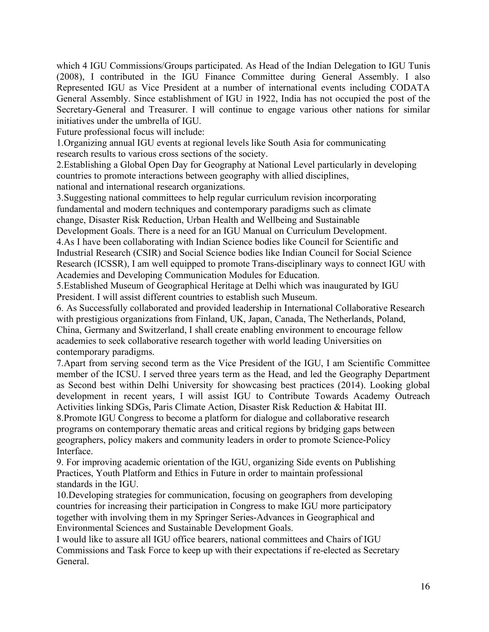which 4 IGU Commissions/Groups participated. As Head of the Indian Delegation to IGU Tunis (2008), I contributed in the IGU Finance Committee during General Assembly. I also Represented IGU as Vice President at a number of international events including CODATA General Assembly. Since establishment of IGU in 1922, India has not occupied the post of the Secretary-General and Treasurer. I will continue to engage various other nations for similar initiatives under the umbrella of IGU.

Future professional focus will include:

1.Organizing annual IGU events at regional levels like South Asia for communicating research results to various cross sections of the society.

2.Establishing a Global Open Day for Geography at National Level particularly in developing countries to promote interactions between geography with allied disciplines,

national and international research organizations.

3.Suggesting national committees to help regular curriculum revision incorporating fundamental and modern techniques and contemporary paradigms such as climate change, Disaster Risk Reduction, Urban Health and Wellbeing and Sustainable

Development Goals. There is a need for an IGU Manual on Curriculum Development.

4.As I have been collaborating with Indian Science bodies like Council for Scientific and Industrial Research (CSIR) and Social Science bodies like Indian Council for Social Science Research (ICSSR), I am well equipped to promote Trans-disciplinary ways to connect IGU with Academies and Developing Communication Modules for Education.

5.Established Museum of Geographical Heritage at Delhi which was inaugurated by IGU President. I will assist different countries to establish such Museum.

6. As Successfully collaborated and provided leadership in International Collaborative Research with prestigious organizations from Finland, UK, Japan, Canada, The Netherlands, Poland, China, Germany and Switzerland, I shall create enabling environment to encourage fellow academies to seek collaborative research together with world leading Universities on contemporary paradigms.

7.Apart from serving second term as the Vice President of the IGU, I am Scientific Committee member of the ICSU. I served three years term as the Head, and led the Geography Department as Second best within Delhi University for showcasing best practices (2014). Looking global development in recent years, I will assist IGU to Contribute Towards Academy Outreach Activities linking SDGs, Paris Climate Action, Disaster Risk Reduction & Habitat III. 8.Promote IGU Congress to become a platform for dialogue and collaborative research programs on contemporary thematic areas and critical regions by bridging gaps between geographers, policy makers and community leaders in order to promote Science-Policy Interface.

9. For improving academic orientation of the IGU, organizing Side events on Publishing Practices, Youth Platform and Ethics in Future in order to maintain professional standards in the IGU.

10.Developing strategies for communication, focusing on geographers from developing countries for increasing their participation in Congress to make IGU more participatory together with involving them in my Springer Series-Advances in Geographical and Environmental Sciences and Sustainable Development Goals.

I would like to assure all IGU office bearers, national committees and Chairs of IGU Commissions and Task Force to keep up with their expectations if re-elected as Secretary General.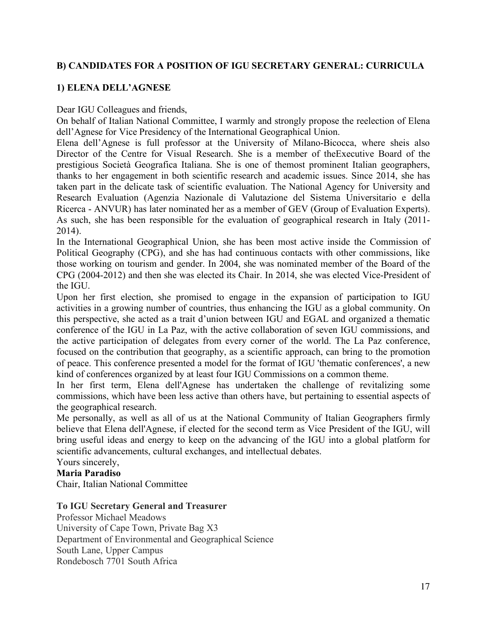# **B) CANDIDATES FOR A POSITION OF IGU SECRETARY GENERAL: CURRICULA**

# **1) ELENA DELL'AGNESE**

Dear IGU Colleagues and friends,

On behalf of Italian National Committee, I warmly and strongly propose the reelection of Elena dell'Agnese for Vice Presidency of the International Geographical Union.

Elena dell'Agnese is full professor at the University of Milano-Bicocca, where sheis also Director of the Centre for Visual Research. She is a member of theExecutive Board of the prestigious Società Geografica Italiana. She is one of themost prominent Italian geographers, thanks to her engagement in both scientific research and academic issues. Since 2014, she has taken part in the delicate task of scientific evaluation. The National Agency for University and Research Evaluation (Agenzia Nazionale di Valutazione del Sistema Universitario e della Ricerca - ANVUR) has later nominated her as a member of GEV (Group of Evaluation Experts). As such, she has been responsible for the evaluation of geographical research in Italy (2011- 2014).

In the International Geographical Union, she has been most active inside the Commission of Political Geography (CPG), and she has had continuous contacts with other commissions, like those working on tourism and gender. In 2004, she was nominated member of the Board of the CPG (2004-2012) and then she was elected its Chair. In 2014, she was elected Vice-President of the IGU.

Upon her first election, she promised to engage in the expansion of participation to IGU activities in a growing number of countries, thus enhancing the IGU as a global community. On this perspective, she acted as a trait d'union between IGU and EGAL and organized a thematic conference of the IGU in La Paz, with the active collaboration of seven IGU commissions, and the active participation of delegates from every corner of the world. The La Paz conference, focused on the contribution that geography, as a scientific approach, can bring to the promotion of peace. This conference presented a model for the format of IGU 'thematic conferences', a new kind of conferences organized by at least four IGU Commissions on a common theme.

In her first term, Elena dell'Agnese has undertaken the challenge of revitalizing some commissions, which have been less active than others have, but pertaining to essential aspects of the geographical research.

Me personally, as well as all of us at the National Community of Italian Geographers firmly believe that Elena dell'Agnese, if elected for the second term as Vice President of the IGU, will bring useful ideas and energy to keep on the advancing of the IGU into a global platform for scientific advancements, cultural exchanges, and intellectual debates.

Yours sincerely,

## **Maria Paradiso**

Chair, Italian National Committee

#### **To IGU Secretary General and Treasurer**

Professor Michael Meadows University of Cape Town, Private Bag X3 Department of Environmental and Geographical Science South Lane, Upper Campus Rondebosch 7701 South Africa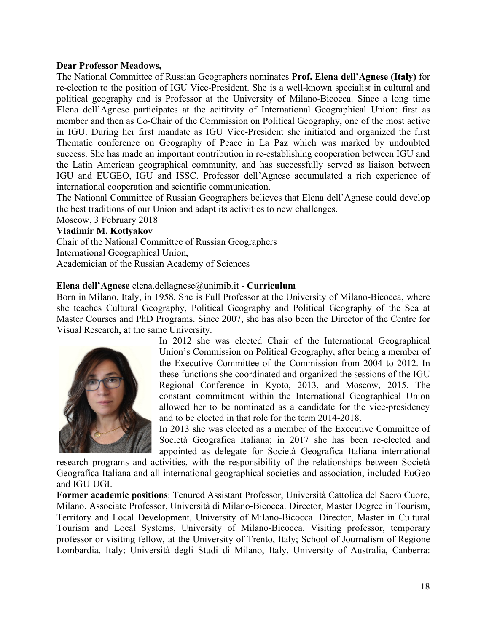#### **Dear Professor Meadows,**

The National Committee of Russian Geographers nominates **Prof. Elena dell'Agnese (Italy)** for re-election to the position of IGU Vice-President. She is a well-known specialist in cultural and political geography and is Professor at the University of Milano-Bicocca. Since a long time Elena dell'Agnese participates at the acititvity of International Geographical Union: first as member and then as Co-Chair of the Commission on Political Geography, one of the most active in IGU. During her first mandate as IGU Vice-President she initiated and organized the first Thematic conference on Geography of Peace in La Paz which was marked by undoubted success. She has made an important contribution in re-establishing cooperation between IGU and the Latin American geographical community, and has successfully served as liaison between IGU and EUGEO, IGU and ISSC. Professor dell'Agnese accumulated a rich experience of international cooperation and scientific communication.

The National Committee of Russian Geographers believes that Elena dell'Agnese could develop the best traditions of our Union and adapt its activities to new challenges.

Moscow, 3 February 2018

### **Vladimir M. Kotlyakov**

Chair of the National Committee of Russian Geographers International Geographical Union, Academician of the Russian Academy of Sciences

#### **Elena dell'Agnese** elena.dellagnese@unimib.it - **Curriculum**

Born in Milano, Italy, in 1958. She is Full Professor at the University of Milano-Bicocca, where she teaches Cultural Geography, Political Geography and Political Geography of the Sea at Master Courses and PhD Programs. Since 2007, she has also been the Director of the Centre for Visual Research, at the same University.



In 2012 she was elected Chair of the International Geographical Union's Commission on Political Geography, after being a member of the Executive Committee of the Commission from 2004 to 2012. In these functions she coordinated and organized the sessions of the IGU Regional Conference in Kyoto, 2013, and Moscow, 2015. The constant commitment within the International Geographical Union allowed her to be nominated as a candidate for the vice-presidency and to be elected in that role for the term 2014-2018.

In 2013 she was elected as a member of the Executive Committee of Società Geografica Italiana; in 2017 she has been re-elected and appointed as delegate for Società Geografica Italiana international

research programs and activities, with the responsibility of the relationships between Società Geografica Italiana and all international geographical societies and association, included EuGeo and IGU-UGI.

**Former academic positions**: Tenured Assistant Professor, Università Cattolica del Sacro Cuore, Milano. Associate Professor, Università di Milano-Bicocca. Director, Master Degree in Tourism, Territory and Local Development, University of Milano-Bicocca. Director, Master in Cultural Tourism and Local Systems, University of Milano-Bicocca. Visiting professor, temporary professor or visiting fellow, at the University of Trento, Italy; School of Journalism of Regione Lombardia, Italy; Università degli Studi di Milano, Italy, University of Australia, Canberra: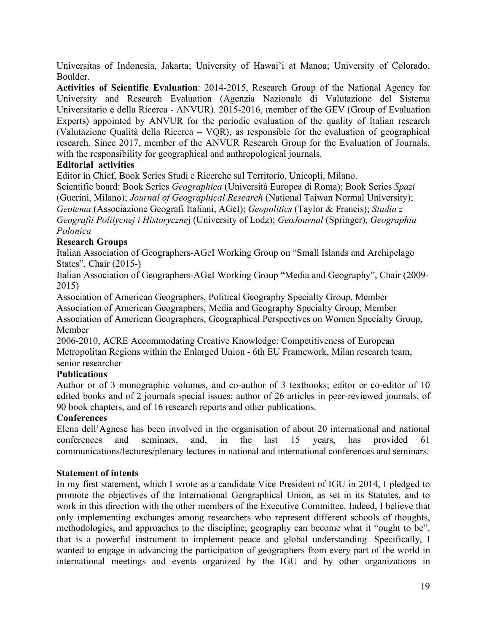Universitas of Indonesia, Jakarta; University of Hawai'i at Manoa; University of Colorado, Boulder.

**Activities of Scientific Evaluation**: 2014-2015, Research Group of the National Agency for University and Research Evaluation (Agenzia Nazionale di Valutazione del Sistema Universitario e della Ricerca - ANVUR). 2015-2016, member of the GEV (Group of Evaluation Experts) appointed by ANVUR for the periodic evaluation of the quality of Italian research (Valutazione Qualità della Ricerca – VQR), as responsible for the evaluation of geographical research. Since 2017, member of the ANVUR Research Group for the Evaluation of Journals, with the responsibility for geographical and anthropological journals.

### **Editorial activities**

Editor in Chief, Book Series Studi e Ricerche sul Territorio, Unicopli, Milano.

Scientific board: Book Series *Geographica* (Università Europea di Roma); Book Series *Spazi*  (Guerini, Milano); *Journal of Geographical Research* (National Taiwan Normal University); *Geotema* (Associazione Geografi Italiani, AGeI); *Geopolitics* (Taylor & Francis); *Studia z Geografii Politycnej i Historyczne*j (University of Lodz); *GeoJournal* (Springer), *Geographia Polonica*

### **Research Groups**

Italian Association of Geographers-AGeI Working Group on "Small Islands and Archipelago States", Chair (2015-)

Italian Association of Geographers-AGeI Working Group "Media and Geography", Chair (2009- 2015)

Association of American Geographers, Political Geography Specialty Group, Member Association of American Geographers, Media and Geography Specialty Group, Member Association of American Geographers, Geographical Perspectives on Women Specialty Group, Member

2006-2010, ACRE Accommodating Creative Knowledge: Competitiveness of European Metropolitan Regions within the Enlarged Union - 6th EU Framework, Milan research team, senior researcher

# **Publications**

Author or of 3 monographic volumes, and co-author of 3 textbooks; editor or co-editor of 10 edited books and of 2 journals special issues; author of 26 articles in peer-reviewed journals, of 90 book chapters, and of 16 research reports and other publications.

#### **Conferences**

Elena dell'Agnese has been involved in the organisation of about 20 international and national conferences and seminars, and, in the last 15 years, has provided 61 communications/lectures/plenary lectures in national and international conferences and seminars.

#### **Statement of intents**

In my first statement, which I wrote as a candidate Vice President of IGU in 2014, I pledged to promote the objectives of the International Geographical Union, as set in its Statutes, and to work in this direction with the other members of the Executive Committee. Indeed, I believe that only implementing exchanges among researchers who represent different schools of thoughts, methodologies, and approaches to the discipline; geography can become what it "ought to be", that is a powerful instrument to implement peace and global understanding. Specifically, I wanted to engage in advancing the participation of geographers from every part of the world in international meetings and events organized by the IGU and by other organizations in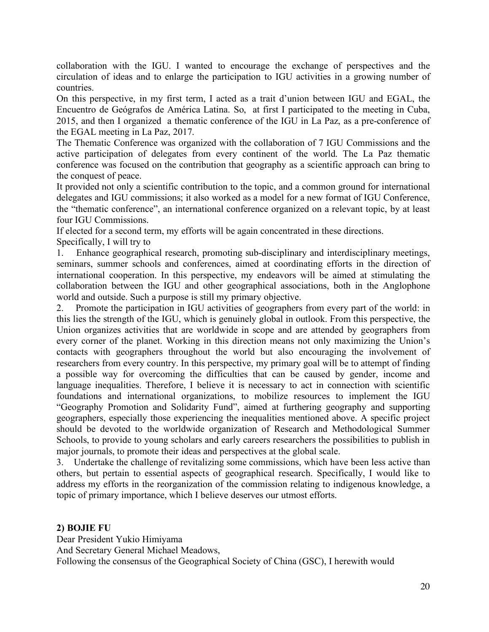collaboration with the IGU. I wanted to encourage the exchange of perspectives and the circulation of ideas and to enlarge the participation to IGU activities in a growing number of countries.

On this perspective, in my first term, I acted as a trait d'union between IGU and EGAL, the Encuentro de Geógrafos de América Latina. So, at first I participated to the meeting in Cuba, 2015, and then I organized a thematic conference of the IGU in La Paz, as a pre-conference of the EGAL meeting in La Paz, 2017.

The Thematic Conference was organized with the collaboration of 7 IGU Commissions and the active participation of delegates from every continent of the world. The La Paz thematic conference was focused on the contribution that geography as a scientific approach can bring to the conquest of peace.

It provided not only a scientific contribution to the topic, and a common ground for international delegates and IGU commissions; it also worked as a model for a new format of IGU Conference, the "thematic conference", an international conference organized on a relevant topic, by at least four IGU Commissions.

If elected for a second term, my efforts will be again concentrated in these directions. Specifically, I will try to

1. Enhance geographical research, promoting sub-disciplinary and interdisciplinary meetings, seminars, summer schools and conferences, aimed at coordinating efforts in the direction of international cooperation. In this perspective, my endeavors will be aimed at stimulating the collaboration between the IGU and other geographical associations, both in the Anglophone world and outside. Such a purpose is still my primary objective.

2. Promote the participation in IGU activities of geographers from every part of the world: in this lies the strength of the IGU, which is genuinely global in outlook. From this perspective, the Union organizes activities that are worldwide in scope and are attended by geographers from every corner of the planet. Working in this direction means not only maximizing the Union's contacts with geographers throughout the world but also encouraging the involvement of researchers from every country. In this perspective, my primary goal will be to attempt of finding a possible way for overcoming the difficulties that can be caused by gender, income and language inequalities. Therefore, I believe it is necessary to act in connection with scientific foundations and international organizations, to mobilize resources to implement the IGU "Geography Promotion and Solidarity Fund", aimed at furthering geography and supporting geographers, especially those experiencing the inequalities mentioned above. A specific project should be devoted to the worldwide organization of Research and Methodological Summer Schools, to provide to young scholars and early careers researchers the possibilities to publish in major journals, to promote their ideas and perspectives at the global scale.

3. Undertake the challenge of revitalizing some commissions, which have been less active than others, but pertain to essential aspects of geographical research. Specifically, I would like to address my efforts in the reorganization of the commission relating to indigenous knowledge, a topic of primary importance, which I believe deserves our utmost efforts.

# **2) BOJIE FU**

Dear President Yukio Himiyama And Secretary General Michael Meadows, Following the consensus of the Geographical Society of China (GSC), I herewith would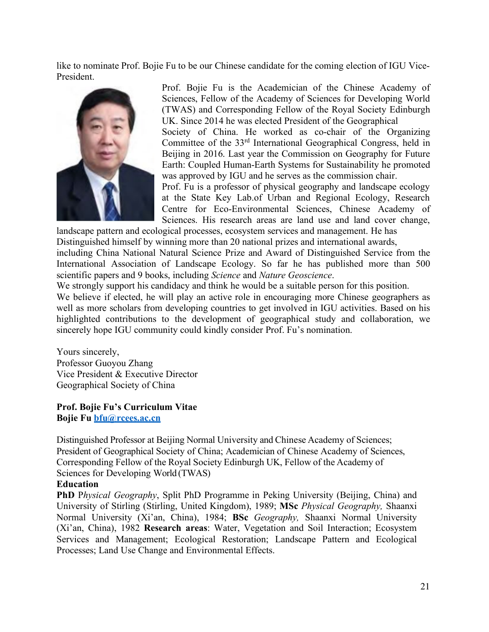like to nominate Prof. Bojie Fu to be our Chinese candidate for the coming election of IGU Vice-President.



Prof. Bojie Fu is the Academician of the Chinese Academy of Sciences, Fellow of the Academy of Sciences for Developing World (TWAS) and Corresponding Fellow of the Royal Society Edinburgh UK. Since 2014 he was elected President of the Geographical

Society of China. He worked as co-chair of the Organizing Committee of the 33rd International Geographical Congress, held in Beijing in 2016. Last year the Commission on Geography for Future Earth: Coupled Human-Earth Systems for Sustainability he promoted was approved by IGU and he serves as the commission chair.

Prof. Fu is a professor of physical geography and landscape ecology at the State Key Lab.of Urban and Regional Ecology, Research Centre for Eco-Environmental Sciences, Chinese Academy of Sciences. His research areas are land use and land cover change,

landscape pattern and ecological processes, ecosystem services and management. He has Distinguished himself by winning more than 20 national prizes and international awards,

including China National Natural Science Prize and Award of Distinguished Service from the International Association of Landscape Ecology. So far he has published more than 500 scientific papers and 9 books, including *Science* and *Nature Geoscience*.

We strongly support his candidacy and think he would be a suitable person for this position.

We believe if elected, he will play an active role in encouraging more Chinese geographers as well as more scholars from developing countries to get involved in IGU activities. Based on his highlighted contributions to the development of geographical study and collaboration, we sincerely hope IGU community could kindly consider Prof. Fu's nomination.

Yours sincerely, Professor Guoyou Zhang Vice President & Executive Director Geographical Society of China

**Prof. Bojie Fu's Curriculum Vitae Bojie Fu bfu@rcees.ac.cn**

Distinguished Professor at Beijing Normal University and Chinese Academy of Sciences; President of Geographical Society of China; Academician of Chinese Academy of Sciences, Corresponding Fellow of the Royal Society Edinburgh UK, Fellow of the Academy of Sciences for Developing World (TWAS)

#### **Education**

**PhD** P*hysical Geography*, Split PhD Programme in Peking University (Beijing, China) and University of Stirling (Stirling, United Kingdom), 1989; **MSc** *Physical Geography,* Shaanxi Normal University (Xi'an, China), 1984; **BSc** *Geography,* Shaanxi Normal University (Xi'an, China), 1982 **Research areas**: Water, Vegetation and Soil Interaction; Ecosystem Services and Management; Ecological Restoration; Landscape Pattern and Ecological Processes; Land Use Change and Environmental Effects.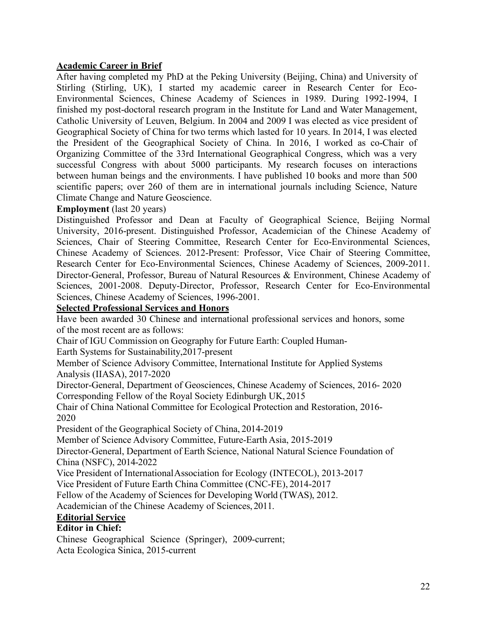# **Academic Career in Brief**

After having completed my PhD at the Peking University (Beijing, China) and University of Stirling (Stirling, UK), I started my academic career in Research Center for Eco-Environmental Sciences, Chinese Academy of Sciences in 1989. During 1992-1994, I finished my post-doctoral research program in the Institute for Land and Water Management, Catholic University of Leuven, Belgium. In 2004 and 2009 I was elected as vice president of Geographical Society of China for two terms which lasted for 10 years. In 2014, I was elected the President of the Geographical Society of China. In 2016, I worked as co-Chair of Organizing Committee of the 33rd International Geographical Congress, which was a very successful Congress with about 5000 participants. My research focuses on interactions between human beings and the environments. I have published 10 books and more than 500 scientific papers; over 260 of them are in international journals including Science, Nature Climate Change and Nature Geoscience.

### **Employment** (last 20 years)

Distinguished Professor and Dean at Faculty of Geographical Science, Beijing Normal University, 2016-present. Distinguished Professor, Academician of the Chinese Academy of Sciences, Chair of Steering Committee, Research Center for Eco-Environmental Sciences, Chinese Academy of Sciences. 2012-Present: Professor, Vice Chair of Steering Committee, Research Center for Eco-Environmental Sciences, Chinese Academy of Sciences, 2009-2011. Director-General, Professor, Bureau of Natural Resources & Environment, Chinese Academy of Sciences, 2001-2008. Deputy-Director, Professor, Research Center for Eco-Environmental Sciences, Chinese Academy of Sciences, 1996-2001.

### **Selected Professional Services and Honors**

Have been awarded 30 Chinese and international professional services and honors, some of the most recent are as follows:

Chair of IGU Commission on Geography for Future Earth: Coupled Human-Earth Systems for Sustainability,2017-present

Member of Science Advisory Committee, International Institute for Applied Systems Analysis (IIASA), 2017-2020

Director-General, Department of Geosciences, Chinese Academy of Sciences, 2016- 2020 Corresponding Fellow of the Royal Society Edinburgh UK, 2015

Chair of China National Committee for Ecological Protection and Restoration, 2016- 2020

President of the Geographical Society of China, 2014-2019

Member of Science Advisory Committee, Future-Earth Asia, 2015-2019

Director-General, Department of Earth Science, National Natural Science Foundation of China (NSFC), 2014-2022

Vice President of InternationalAssociation for Ecology (INTECOL), 2013-2017

Vice President of Future Earth China Committee (CNC-FE), 2014-2017

Fellow of the Academy of Sciences for Developing World (TWAS), 2012.

Academician of the Chinese Academy of Sciences, 2011.

#### **Editorial Service**

# **Editor in Chief:**

Chinese Geographical Science (Springer), 2009-current; Acta Ecologica Sinica, 2015-current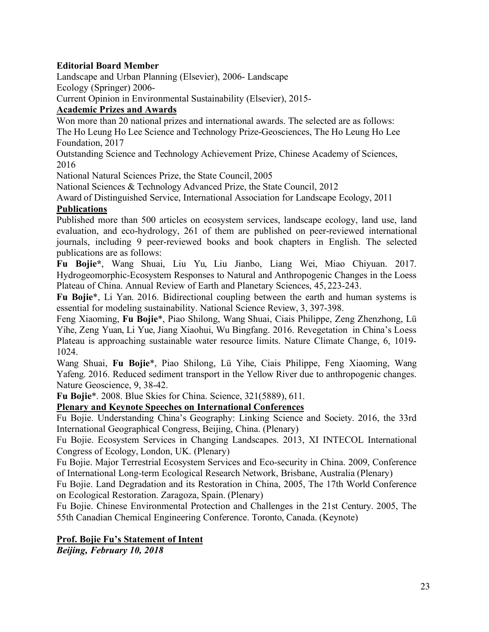# **Editorial Board Member**

Landscape and Urban Planning (Elsevier), 2006- Landscape

Ecology (Springer) 2006-

Current Opinion in Environmental Sustainability (Elsevier), 2015-

# **Academic Prizes and Awards**

Won more than 20 national prizes and international awards. The selected are as follows: The Ho Leung Ho Lee Science and Technology Prize-Geosciences, The Ho Leung Ho Lee Foundation, 2017

Outstanding Science and Technology Achievement Prize, Chinese Academy of Sciences, 2016

National Natural Sciences Prize, the State Council, 2005

National Sciences & Technology Advanced Prize, the State Council, 2012

Award of Distinguished Service, International Association for Landscape Ecology, 2011 **Publications**

Published more than 500 articles on ecosystem services, landscape ecology, land use, land evaluation, and eco-hydrology, 261 of them are published on peer-reviewed international journals, including 9 peer-reviewed books and book chapters in English. The selected publications are as follows:

**Fu Bojie\***, Wang Shuai, Liu Yu, Liu Jianbo, Liang Wei, Miao Chiyuan. 2017. Hydrogeomorphic-Ecosystem Responses to Natural and Anthropogenic Changes in the Loess Plateau of China. Annual Review of Earth and Planetary Sciences, 45, 223-243.

**Fu Bojie**\*, Li Yan. 2016. Bidirectional coupling between the earth and human systems is essential for modeling sustainability. National Science Review, 3, 397-398.

Feng Xiaoming, **Fu Bojie**\*, Piao Shilong, Wang Shuai, Ciais Philippe, Zeng Zhenzhong, Lü Yihe, Zeng Yuan, Li Yue, Jiang Xiaohui, Wu Bingfang. 2016. Revegetation in China's Loess Plateau is approaching sustainable water resource limits. Nature Climate Change, 6, 1019- 1024.

Wang Shuai, **Fu Bojie**\*, Piao Shilong, Lü Yihe, Ciais Philippe, Feng Xiaoming, Wang Yafeng. 2016. Reduced sediment transport in the Yellow River due to anthropogenic changes. Nature Geoscience, 9, 38-42.

**Fu Bojie**\*. 2008. Blue Skies for China. Science, 321(5889), 611.

**Plenary and Keynote Speeches on International Conferences**

Fu Bojie. Understanding China's Geography: Linking Science and Society. 2016, the 33rd International Geographical Congress, Beijing, China. (Plenary)

Fu Bojie. Ecosystem Services in Changing Landscapes. 2013, XI INTECOL International Congress of Ecology, London, UK. (Plenary)

Fu Bojie. Major Terrestrial Ecosystem Services and Eco-security in China. 2009, Conference of International Long-term Ecological Research Network, Brisbane, Australia (Plenary)

Fu Bojie. Land Degradation and its Restoration in China, 2005, The 17th World Conference on Ecological Restoration. Zaragoza, Spain. (Plenary)

Fu Bojie. Chinese Environmental Protection and Challenges in the 21st Century. 2005, The 55th Canadian Chemical Engineering Conference. Toronto, Canada. (Keynote)

# **Prof. Bojie Fu's Statement of Intent**

*Beijing, February 10, 2018*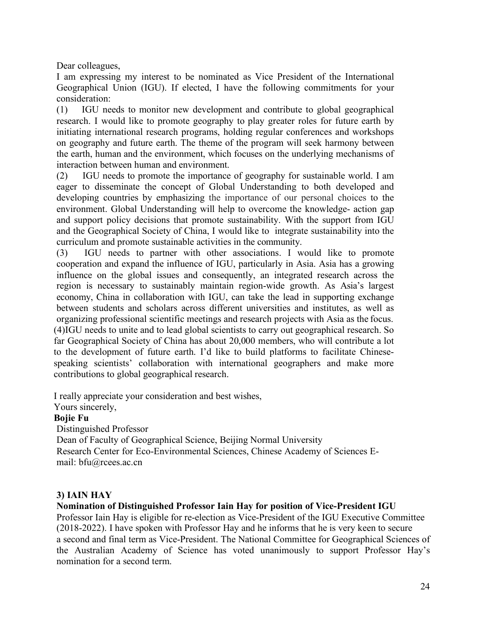Dear colleagues,

I am expressing my interest to be nominated as Vice President of the International Geographical Union (IGU). If elected, I have the following commitments for your consideration:

(1) IGU needs to monitor new development and contribute to global geographical research. I would like to promote geography to play greater roles for future earth by initiating international research programs, holding regular conferences and workshops on geography and future earth. The theme of the program will seek harmony between the earth, human and the environment, which focuses on the underlying mechanisms of interaction between human and environment.

(2) IGU needs to promote the importance of geography for sustainable world. I am eager to disseminate the concept of Global Understanding to both developed and developing countries by emphasizing the importance of our personal choices to the environment. Global Understanding will help to overcome the knowledge- action gap and support policy decisions that promote sustainability. With the support from IGU and the Geographical Society of China, I would like to integrate sustainability into the curriculum and promote sustainable activities in the community.

(3) IGU needs to partner with other associations. I would like to promote cooperation and expand the influence of IGU, particularly in Asia. Asia has a growing influence on the global issues and consequently, an integrated research across the region is necessary to sustainably maintain region-wide growth. As Asia's largest economy, China in collaboration with IGU, can take the lead in supporting exchange between students and scholars across different universities and institutes, as well as organizing professional scientific meetings and research projects with Asia as the focus. (4)IGU needs to unite and to lead global scientists to carry out geographical research. So far Geographical Society of China has about 20,000 members, who will contribute a lot to the development of future earth. I'd like to build platforms to facilitate Chinesespeaking scientists' collaboration with international geographers and make more contributions to global geographical research.

I really appreciate your consideration and best wishes,

Yours sincerely,

#### **Bojie Fu**

Distinguished Professor

Dean of Faculty of Geographical Science, Beijing Normal University Research Center for Eco-Environmental Sciences, Chinese Academy of Sciences Email: bfu@rcees.ac.cn

# **3) IAIN HAY**

# **Nomination of Distinguished Professor Iain Hay for position of Vice-President IGU**

Professor Iain Hay is eligible for re-election as Vice-President of the IGU Executive Committee (2018-2022). I have spoken with Professor Hay and he informs that he is very keen to secure a second and final term as Vice-President. The National Committee for Geographical Sciences of the Australian Academy of Science has voted unanimously to support Professor Hay's nomination for a second term.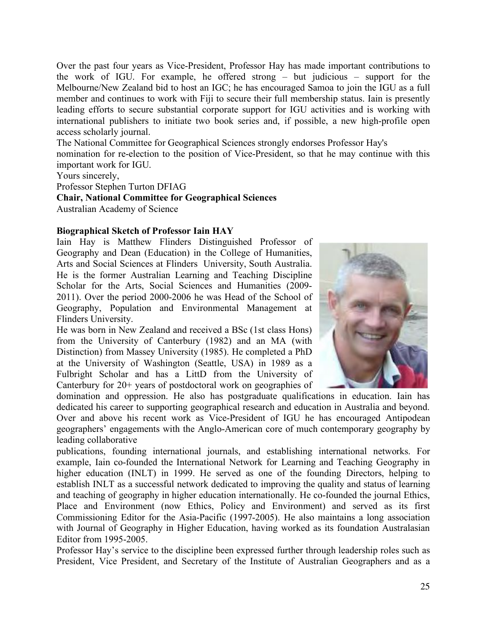Over the past four years as Vice-President, Professor Hay has made important contributions to the work of IGU. For example, he offered strong – but judicious – support for the Melbourne/New Zealand bid to host an IGC; he has encouraged Samoa to join the IGU as a full member and continues to work with Fiji to secure their full membership status. Iain is presently leading efforts to secure substantial corporate support for IGU activities and is working with international publishers to initiate two book series and, if possible, a new high-profile open access scholarly journal.

The National Committee for Geographical Sciences strongly endorses Professor Hay's nomination for re-election to the position of Vice-President, so that he may continue with this important work for IGU.

Yours sincerely,

Professor Stephen Turton DFIAG

**Chair, National Committee for Geographical Sciences** Australian Academy of Science

### **Biographical Sketch of Professor Iain HAY**

Iain Hay is Matthew Flinders Distinguished Professor of Geography and Dean (Education) in the College of Humanities, Arts and Social Sciences at Flinders University, South Australia. He is the former Australian Learning and Teaching Discipline Scholar for the Arts, Social Sciences and Humanities (2009- 2011). Over the period 2000-2006 he was Head of the School of Geography, Population and Environmental Management at Flinders University.

He was born in New Zealand and received a BSc (1st class Hons) from the University of Canterbury (1982) and an MA (with Distinction) from Massey University (1985). He completed a PhD at the University of Washington (Seattle, USA) in 1989 as a Fulbright Scholar and has a LittD from the University of Canterbury for 20+ years of postdoctoral work on geographies of



domination and oppression. He also has postgraduate qualifications in education. Iain has dedicated his career to supporting geographical research and education in Australia and beyond. Over and above his recent work as Vice-President of IGU he has encouraged Antipodean geographers' engagements with the Anglo-American core of much contemporary geography by leading collaborative

publications, founding international journals, and establishing international networks. For example, Iain co-founded the International Network for Learning and Teaching Geography in higher education (INLT) in 1999. He served as one of the founding Directors, helping to establish INLT as a successful network dedicated to improving the quality and status of learning and teaching of geography in higher education internationally. He co-founded the journal Ethics, Place and Environment (now Ethics, Policy and Environment) and served as its first Commissioning Editor for the Asia-Pacific (1997-2005). He also maintains a long association with Journal of Geography in Higher Education, having worked as its foundation Australasian Editor from 1995-2005.

Professor Hay's service to the discipline been expressed further through leadership roles such as President, Vice President, and Secretary of the Institute of Australian Geographers and as a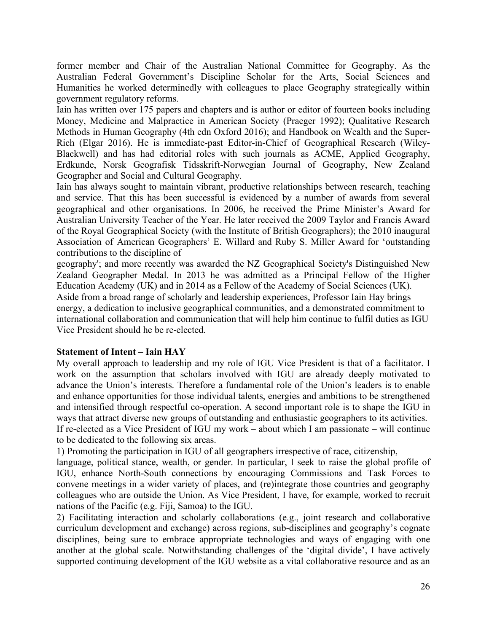former member and Chair of the Australian National Committee for Geography. As the Australian Federal Government's Discipline Scholar for the Arts, Social Sciences and Humanities he worked determinedly with colleagues to place Geography strategically within government regulatory reforms.

Iain has written over 175 papers and chapters and is author or editor of fourteen books including Money, Medicine and Malpractice in American Society (Praeger 1992); Qualitative Research Methods in Human Geography (4th edn Oxford 2016); and Handbook on Wealth and the Super-Rich (Elgar 2016). He is immediate-past Editor-in-Chief of Geographical Research (Wiley-Blackwell) and has had editorial roles with such journals as ACME, Applied Geography, Erdkunde, Norsk Geografisk Tidsskrift-Norwegian Journal of Geography, New Zealand Geographer and Social and Cultural Geography.

Iain has always sought to maintain vibrant, productive relationships between research, teaching and service. That this has been successful is evidenced by a number of awards from several geographical and other organisations. In 2006, he received the Prime Minister's Award for Australian University Teacher of the Year. He later received the 2009 Taylor and Francis Award of the Royal Geographical Society (with the Institute of British Geographers); the 2010 inaugural Association of American Geographers' E. Willard and Ruby S. Miller Award for 'outstanding contributions to the discipline of

geography'; and more recently was awarded the NZ Geographical Society's Distinguished New Zealand Geographer Medal. In 2013 he was admitted as a Principal Fellow of the Higher Education Academy (UK) and in 2014 as a Fellow of the Academy of Social Sciences (UK). Aside from a broad range of scholarly and leadership experiences, Professor Iain Hay brings energy, a dedication to inclusive geographical communities, and a demonstrated commitment to international collaboration and communication that will help him continue to fulfil duties as IGU Vice President should he be re-elected.

#### **Statement of Intent – Iain HAY**

My overall approach to leadership and my role of IGU Vice President is that of a facilitator. I work on the assumption that scholars involved with IGU are already deeply motivated to advance the Union's interests. Therefore a fundamental role of the Union's leaders is to enable and enhance opportunities for those individual talents, energies and ambitions to be strengthened and intensified through respectful co-operation. A second important role is to shape the IGU in ways that attract diverse new groups of outstanding and enthusiastic geographers to its activities. If re-elected as a Vice President of IGU my work – about which I am passionate – will continue to be dedicated to the following six areas.

1) Promoting the participation in IGU of all geographers irrespective of race, citizenship,

language, political stance, wealth, or gender. In particular, I seek to raise the global profile of IGU, enhance North-South connections by encouraging Commissions and Task Forces to convene meetings in a wider variety of places, and (re)integrate those countries and geography colleagues who are outside the Union. As Vice President, I have, for example, worked to recruit nations of the Pacific (e.g. Fiji, Samoa) to the IGU.

2) Facilitating interaction and scholarly collaborations (e.g., joint research and collaborative curriculum development and exchange) across regions, sub-disciplines and geography's cognate disciplines, being sure to embrace appropriate technologies and ways of engaging with one another at the global scale. Notwithstanding challenges of the 'digital divide', I have actively supported continuing development of the IGU website as a vital collaborative resource and as an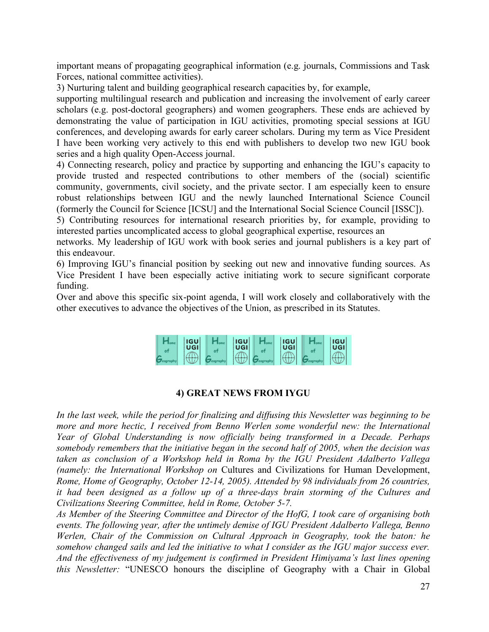important means of propagating geographical information (e.g. journals, Commissions and Task Forces, national committee activities).

3) Nurturing talent and building geographical research capacities by, for example,

supporting multilingual research and publication and increasing the involvement of early career scholars (e.g. post-doctoral geographers) and women geographers. These ends are achieved by demonstrating the value of participation in IGU activities, promoting special sessions at IGU conferences, and developing awards for early career scholars. During my term as Vice President I have been working very actively to this end with publishers to develop two new IGU book series and a high quality Open-Access journal.

4) Connecting research, policy and practice by supporting and enhancing the IGU's capacity to provide trusted and respected contributions to other members of the (social) scientific community, governments, civil society, and the private sector. I am especially keen to ensure robust relationships between IGU and the newly launched International Science Council (formerly the Council for Science [ICSU] and the International Social Science Council [ISSC]).

5) Contributing resources for international research priorities by, for example, providing to interested parties uncomplicated access to global geographical expertise, resources an

networks. My leadership of IGU work with book series and journal publishers is a key part of this endeavour.

6) Improving IGU's financial position by seeking out new and innovative funding sources. As Vice President I have been especially active initiating work to secure significant corporate funding.

Over and above this specific six-point agenda, I will work closely and collaboratively with the other executives to advance the objectives of the Union, as prescribed in its Statutes.



# **4) GREAT NEWS FROM IYGU**

*In the last week, while the period for finalizing and diffusing this Newsletter was beginning to be more and more hectic, I received from Benno Werlen some wonderful new: the International Year of Global Understanding is now officially being transformed in a Decade. Perhaps somebody remembers that the initiative began in the second half of 2005, when the decision was taken as conclusion of a Workshop held in Roma by the IGU President Adalberto Vallega (namely: the International Workshop on* Cultures and Civilizations for Human Development, *Rome, Home of Geography, October 12-14, 2005). Attended by 98 individuals from 26 countries, it had been designed as a follow up of a three-days brain storming of the Cultures and Civilizations Steering Committee, held in Rome, October 5-7.*

*As Member of the Steering Committee and Director of the HofG, I took care of organising both events. The following year, after the untimely demise of IGU President Adalberto Vallega, Benno Werlen, Chair of the Commission on Cultural Approach in Geography, took the baton: he somehow changed sails and led the initiative to what I consider as the IGU major success ever. And the effectiveness of my judgement is confirmed in President Himiyama's last lines opening this Newsletter:* "UNESCO honours the discipline of Geography with a Chair in Global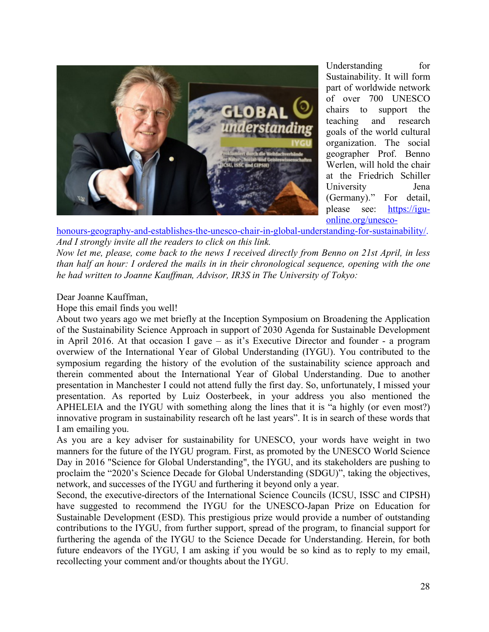

Understanding for Sustainability. It will form part of worldwide network of over 700 UNESCO chairs to support the teaching and research goals of the world cultural organization. The social geographer Prof. Benno Werlen, will hold the chair at the Friedrich Schiller University Jena (Germany)." For detail, please see: https://iguonline.org/unesco-

honours-geography-and-establishes-the-unesco-chair-in-global-understanding-for-sustainability/. *And I strongly invite all the readers to click on this link.*

*Now let me, please, come back to the news I received directly from Benno on 21st April, in less than half an hour: I ordered the mails in in their chronological sequence, opening with the one he had written to Joanne Kauffman, Advisor, IR3S in The University of Tokyo:*

Dear Joanne Kauffman,

Hope this email finds you well!

About two years ago we met briefly at the Inception Symposium on Broadening the Application of the Sustainability Science Approach in support of 2030 Agenda for Sustainable Development in April 2016. At that occasion I gave – as it's Executive Director and founder - a program overwiew of the International Year of Global Understanding (IYGU). You contributed to the symposium regarding the history of the evolution of the sustainability science approach and therein commented about the International Year of Global Understanding. Due to another presentation in Manchester I could not attend fully the first day. So, unfortunately, I missed your presentation. As reported by Luiz Oosterbeek, in your address you also mentioned the APHELEIA and the IYGU with something along the lines that it is "a highly (or even most?) innovative program in sustainability research oft he last years". It is in search of these words that I am emailing you.

As you are a key adviser for sustainability for UNESCO, your words have weight in two manners for the future of the IYGU program. First, as promoted by the UNESCO World Science Day in 2016 "Science for Global Understanding", the IYGU, and its stakeholders are pushing to proclaim the "2020's Science Decade for Global Understanding (SDGU)", taking the objectives, network, and successes of the IYGU and furthering it beyond only a year.

Second, the executive-directors of the International Science Councils (ICSU, ISSC and CIPSH) have suggested to recommend the IYGU for the UNESCO-Japan Prize on Education for Sustainable Development (ESD). This prestigious prize would provide a number of outstanding contributions to the IYGU, from further support, spread of the program, to financial support for furthering the agenda of the IYGU to the Science Decade for Understanding. Herein, for both future endeavors of the IYGU, I am asking if you would be so kind as to reply to my email, recollecting your comment and/or thoughts about the IYGU.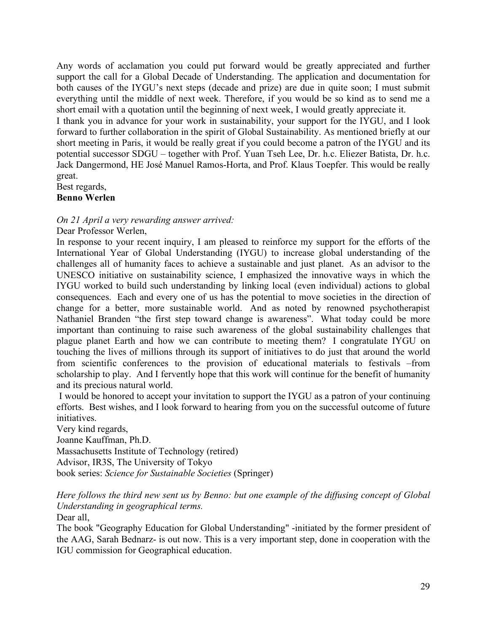Any words of acclamation you could put forward would be greatly appreciated and further support the call for a Global Decade of Understanding. The application and documentation for both causes of the IYGU's next steps (decade and prize) are due in quite soon; I must submit everything until the middle of next week. Therefore, if you would be so kind as to send me a short email with a quotation until the beginning of next week, I would greatly appreciate it.

I thank you in advance for your work in sustainability, your support for the IYGU, and I look forward to further collaboration in the spirit of Global Sustainability. As mentioned briefly at our short meeting in Paris, it would be really great if you could become a patron of the IYGU and its potential successor SDGU – together with Prof. Yuan Tseh Lee, Dr. h.c. Eliezer Batista, Dr. h.c. Jack Dangermond, HE José Manuel Ramos-Horta, and Prof. Klaus Toepfer. This would be really great.

Best regards,

**Benno Werlen**

*On 21 April a very rewarding answer arrived:*

Dear Professor Werlen,

In response to your recent inquiry, I am pleased to reinforce my support for the efforts of the International Year of Global Understanding (IYGU) to increase global understanding of the challenges all of humanity faces to achieve a sustainable and just planet. As an advisor to the UNESCO initiative on sustainability science, I emphasized the innovative ways in which the IYGU worked to build such understanding by linking local (even individual) actions to global consequences. Each and every one of us has the potential to move societies in the direction of change for a better, more sustainable world. And as noted by renowned psychotherapist Nathaniel Branden "the first step toward change is awareness". What today could be more important than continuing to raise such awareness of the global sustainability challenges that plague planet Earth and how we can contribute to meeting them? I congratulate IYGU on touching the lives of millions through its support of initiatives to do just that around the world from scientific conferences to the provision of educational materials to festivals –from scholarship to play. And I fervently hope that this work will continue for the benefit of humanity and its precious natural world.

I would be honored to accept your invitation to support the IYGU as a patron of your continuing efforts. Best wishes, and I look forward to hearing from you on the successful outcome of future initiatives.

Very kind regards,

Joanne Kauffman, Ph.D.

Massachusetts Institute of Technology (retired)

Advisor, IR3S, The University of Tokyo

book series: *Science for Sustainable Societies* (Springer)

*Here follows the third new sent us by Benno: but one example of the diffusing concept of Global Understanding in geographical terms.* Dear all.

The book "Geography Education for Global Understanding" -initiated by the former president of the AAG, Sarah Bednarz- is out now. This is a very important step, done in cooperation with the IGU commission for Geographical education.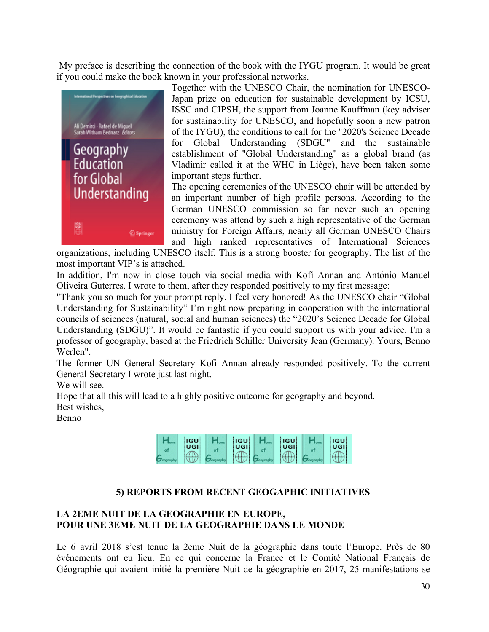My preface is describing the connection of the book with the IYGU program. It would be great if you could make the book known in your professional networks.



Together with the UNESCO Chair, the nomination for UNESCO-Japan prize on education for sustainable development by ICSU, ISSC and CIPSH, the support from Joanne Kauffman (key adviser for sustainability for UNESCO, and hopefully soon a new patron of the IYGU), the conditions to call for the "2020's Science Decade for Global Understanding (SDGU" and the sustainable establishment of "Global Understanding" as a global brand (as Vladimir called it at the WHC in Liège), have been taken some important steps further.

The opening ceremonies of the UNESCO chair will be attended by an important number of high profile persons. According to the German UNESCO commission so far never such an opening ceremony was attend by such a high representative of the German ministry for Foreign Affairs, nearly all German UNESCO Chairs and high ranked representatives of International Sciences

organizations, including UNESCO itself. This is a strong booster for geography. The list of the most important VIP's is attached.

In addition, I'm now in close touch via social media with Kofi Annan and António Manuel Oliveira Guterres. I wrote to them, after they responded positively to my first message:

"Thank you so much for your prompt reply. I feel very honored! As the UNESCO chair "Global Understanding for Sustainability" I'm right now preparing in cooperation with the international councils of sciences (natural, social and human sciences) the "2020's Science Decade for Global Understanding (SDGU)". It would be fantastic if you could support us with your advice. I'm a professor of geography, based at the Friedrich Schiller University Jean (Germany). Yours, Benno Werlen".

The former UN General Secretary Kofi Annan already responded positively. To the current General Secretary I wrote just last night.

We will see.

Hope that all this will lead to a highly positive outcome for geography and beyond. Best wishes,

Benno

| <b>IGU</b><br>UGI | <b>IGU</b><br>UGI | <b>IGU</b><br><b>UGI</b> | <b>IGU</b><br>UGI |
|-------------------|-------------------|--------------------------|-------------------|
| -----             |                   |                          |                   |

# **5) REPORTS FROM RECENT GEOGAPHIC INITIATIVES**

# **LA 2EME NUIT DE LA GEOGRAPHIE EN EUROPE, POUR UNE 3EME NUIT DE LA GEOGRAPHIE DANS LE MONDE**

Le 6 avril 2018 s'est tenue la 2eme Nuit de la géographie dans toute l'Europe. Près de 80 événements ont eu lieu. En ce qui concerne la France et le Comité National Français de Géographie qui avaient initié la première Nuit de la géographie en 2017, 25 manifestations se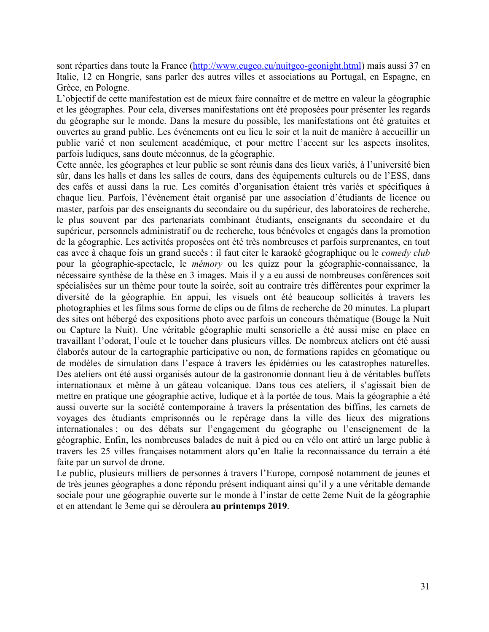sont réparties dans toute la France (http://www.eugeo.eu/nuitgeo-geonight.html) mais aussi 37 en Italie, 12 en Hongrie, sans parler des autres villes et associations au Portugal, en Espagne, en Grèce, en Pologne.

L'objectif de cette manifestation est de mieux faire connaître et de mettre en valeur la géographie et les géographes. Pour cela, diverses manifestations ont été proposées pour présenter les regards du géographe sur le monde. Dans la mesure du possible, les manifestations ont été gratuites et ouvertes au grand public. Les événements ont eu lieu le soir et la nuit de manière à accueillir un public varié et non seulement académique, et pour mettre l'accent sur les aspects insolites, parfois ludiques, sans doute méconnus, de la géographie.

Cette année, les géographes et leur public se sont réunis dans des lieux variés, à l'université bien sûr, dans les halls et dans les salles de cours, dans des équipements culturels ou de l'ESS, dans des cafés et aussi dans la rue. Les comités d'organisation étaient très variés et spécifiques à chaque lieu. Parfois, l'évènement était organisé par une association d'étudiants de licence ou master, parfois par des enseignants du secondaire ou du supérieur, des laboratoires de recherche, le plus souvent par des partenariats combinant étudiants, enseignants du secondaire et du supérieur, personnels administratif ou de recherche, tous bénévoles et engagés dans la promotion de la géographie. Les activités proposées ont été très nombreuses et parfois surprenantes, en tout cas avec à chaque fois un grand succès : il faut citer le karaoké géographique ou le *comedy club* pour la géographie-spectacle, le *mémory* ou les quizz pour la géographie-connaissance, la nécessaire synthèse de la thèse en 3 images. Mais il y a eu aussi de nombreuses conférences soit spécialisées sur un thème pour toute la soirée, soit au contraire très différentes pour exprimer la diversité de la géographie. En appui, les visuels ont été beaucoup sollicités à travers les photographies et les films sous forme de clips ou de films de recherche de 20 minutes. La plupart des sites ont hébergé des expositions photo avec parfois un concours thématique (Bouge la Nuit ou Capture la Nuit). Une véritable géographie multi sensorielle a été aussi mise en place en travaillant l'odorat, l'ouïe et le toucher dans plusieurs villes. De nombreux ateliers ont été aussi élaborés autour de la cartographie participative ou non, de formations rapides en géomatique ou de modèles de simulation dans l'espace à travers les épidémies ou les catastrophes naturelles. Des ateliers ont été aussi organisés autour de la gastronomie donnant lieu à de véritables buffets internationaux et même à un gâteau volcanique. Dans tous ces ateliers, il s'agissait bien de mettre en pratique une géographie active, ludique et à la portée de tous. Mais la géographie a été aussi ouverte sur la société contemporaine à travers la présentation des biffins, les carnets de voyages des étudiants emprisonnés ou le repérage dans la ville des lieux des migrations internationales ; ou des débats sur l'engagement du géographe ou l'enseignement de la géographie. Enfin, les nombreuses balades de nuit à pied ou en vélo ont attiré un large public à travers les 25 villes françaises notamment alors qu'en Italie la reconnaissance du terrain a été faite par un survol de drone.

Le public, plusieurs milliers de personnes à travers l'Europe, composé notamment de jeunes et de très jeunes géographes a donc répondu présent indiquant ainsi qu'il y a une véritable demande sociale pour une géographie ouverte sur le monde à l'instar de cette 2eme Nuit de la géographie et en attendant le 3eme qui se déroulera **au printemps 2019**.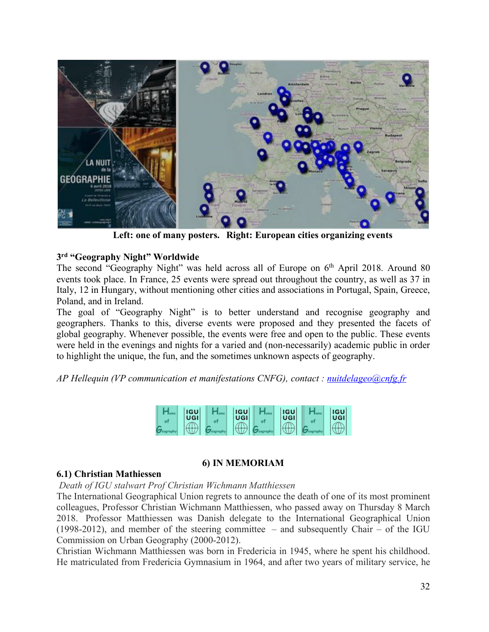

**Left: one of many posters. Right: European cities organizing events** 

### **3rd "Geography Night" Worldwide**

The second "Geography Night" was held across all of Europe on  $6<sup>th</sup>$  April 2018. Around 80 events took place. In France, 25 events were spread out throughout the country, as well as 37 in Italy, 12 in Hungary, without mentioning other cities and associations in Portugal, Spain, Greece, Poland, and in Ireland.

The goal of "Geography Night" is to better understand and recognise geography and geographers. Thanks to this, diverse events were proposed and they presented the facets of global geography. Whenever possible, the events were free and open to the public. These events were held in the evenings and nights for a varied and (non-necessarily) academic public in order to highlight the unique, the fun, and the sometimes unknown aspects of geography.

*AP Hellequin (VP communication et manifestations CNFG), contact : nuitdelageo@cnfg.fr*



# **6) IN MEMORIAM**

#### **6.1) Christian Mathiessen**

*Death of IGU stalwart Prof Christian Wichmann Matthiessen* 

The International Geographical Union regrets to announce the death of one of its most prominent colleagues, Professor Christian Wichmann Matthiessen, who passed away on Thursday 8 March 2018. Professor Matthiessen was Danish delegate to the International Geographical Union (1998-2012), and member of the steering committee – and subsequently Chair – of the IGU Commission on Urban Geography (2000-2012).

Christian Wichmann Matthiessen was born in Fredericia in 1945, where he spent his childhood. He matriculated from Fredericia Gymnasium in 1964, and after two years of military service, he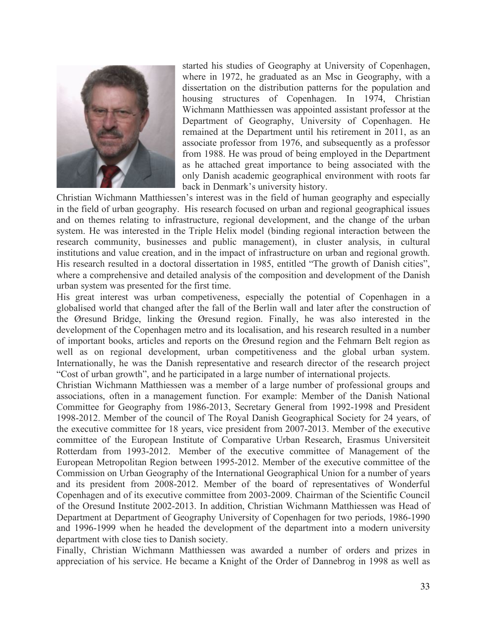

started his studies of Geography at University of Copenhagen, where in 1972, he graduated as an Msc in Geography, with a dissertation on the distribution patterns for the population and housing structures of Copenhagen. In 1974, Christian Wichmann Matthiessen was appointed assistant professor at the Department of Geography, University of Copenhagen. He remained at the Department until his retirement in 2011, as an associate professor from 1976, and subsequently as a professor from 1988. He was proud of being employed in the Department as he attached great importance to being associated with the only Danish academic geographical environment with roots far back in Denmark's university history.

Christian Wichmann Matthiessen's interest was in the field of human geography and especially in the field of urban geography. His research focused on urban and regional geographical issues and on themes relating to infrastructure, regional development, and the change of the urban system. He was interested in the Triple Helix model (binding regional interaction between the research community, businesses and public management), in cluster analysis, in cultural institutions and value creation, and in the impact of infrastructure on urban and regional growth. His research resulted in a doctoral dissertation in 1985, entitled "The growth of Danish cities", where a comprehensive and detailed analysis of the composition and development of the Danish urban system was presented for the first time.

His great interest was urban competiveness, especially the potential of Copenhagen in a globalised world that changed after the fall of the Berlin wall and later after the construction of the Øresund Bridge, linking the Øresund region. Finally, he was also interested in the development of the Copenhagen metro and its localisation, and his research resulted in a number of important books, articles and reports on the Øresund region and the Fehmarn Belt region as well as on regional development, urban competitiveness and the global urban system. Internationally, he was the Danish representative and research director of the research project "Cost of urban growth", and he participated in a large number of international projects.

Christian Wichmann Matthiessen was a member of a large number of professional groups and associations, often in a management function. For example: Member of the Danish National Committee for Geography from 1986-2013, Secretary General from 1992-1998 and President 1998-2012. Member of the council of The Royal Danish Geographical Society for 24 years, of the executive committee for 18 years, vice president from 2007-2013. Member of the executive committee of the European Institute of Comparative Urban Research, Erasmus Universiteit Rotterdam from 1993-2012. Member of the executive committee of Management of the European Metropolitan Region between 1995-2012. Member of the executive committee of the Commission on Urban Geography of the International Geographical Union for a number of years and its president from 2008-2012. Member of the board of representatives of Wonderful Copenhagen and of its executive committee from 2003-2009. Chairman of the Scientific Council of the Oresund Institute 2002-2013. In addition, Christian Wichmann Matthiessen was Head of Department at Department of Geography University of Copenhagen for two periods, 1986-1990 and 1996-1999 when he headed the development of the department into a modern university department with close ties to Danish society.

Finally, Christian Wichmann Matthiessen was awarded a number of orders and prizes in appreciation of his service. He became a Knight of the Order of Dannebrog in 1998 as well as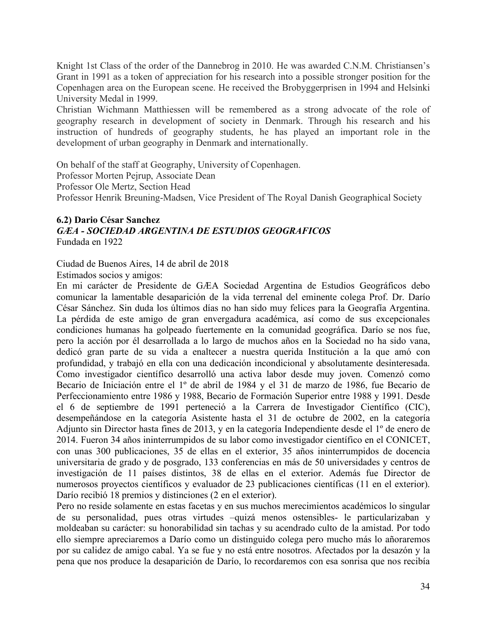Knight 1st Class of the order of the Dannebrog in 2010. He was awarded C.N.M. Christiansen's Grant in 1991 as a token of appreciation for his research into a possible stronger position for the Copenhagen area on the European scene. He received the Brobyggerprisen in 1994 and Helsinki University Medal in 1999.

Christian Wichmann Matthiessen will be remembered as a strong advocate of the role of geography research in development of society in Denmark. Through his research and his instruction of hundreds of geography students, he has played an important role in the development of urban geography in Denmark and internationally.

On behalf of the staff at Geography, University of Copenhagen. Professor Morten Pejrup, Associate Dean Professor Ole Mertz, Section Head Professor Henrik Breuning-Madsen, Vice President of The Royal Danish Geographical Society

#### **6.2) Dario César Sanchez** *GÆA - SOCIEDAD ARGENTINA DE ESTUDIOS GEOGRAFICOS* Fundada en 1922

Ciudad de Buenos Aires, 14 de abril de 2018

Estimados socios y amigos:

En mi carácter de Presidente de GÆA Sociedad Argentina de Estudios Geográficos debo comunicar la lamentable desaparición de la vida terrenal del eminente colega Prof. Dr. Darío César Sánchez. Sin duda los últimos días no han sido muy felices para la Geografía Argentina. La pérdida de este amigo de gran envergadura académica, así como de sus excepcionales condiciones humanas ha golpeado fuertemente en la comunidad geográfica. Darío se nos fue, pero la acción por él desarrollada a lo largo de muchos años en la Sociedad no ha sido vana, dedicó gran parte de su vida a enaltecer a nuestra querida Institución a la que amó con profundidad, y trabajó en ella con una dedicación incondicional y absolutamente desinteresada. Como investigador científico desarrolló una activa labor desde muy joven. Comenzó como Becario de Iniciación entre el 1º de abril de 1984 y el 31 de marzo de 1986, fue Becario de Perfeccionamiento entre 1986 y 1988, Becario de Formación Superior entre 1988 y 1991. Desde el 6 de septiembre de 1991 perteneció a la Carrera de Investigador Científico (CIC), desempeñándose en la categoría Asistente hasta el 31 de octubre de 2002, en la categoría Adjunto sin Director hasta fines de 2013, y en la categoría Independiente desde el 1º de enero de 2014. Fueron 34 años ininterrumpidos de su labor como investigador científico en el CONICET, con unas 300 publicaciones, 35 de ellas en el exterior, 35 años ininterrumpidos de docencia universitaria de grado y de posgrado, 133 conferencias en más de 50 universidades y centros de investigación de 11 países distintos, 38 de ellas en el exterior. Además fue Director de numerosos proyectos científicos y evaluador de 23 publicaciones científicas (11 en el exterior). Darío recibió 18 premios y distinciones (2 en el exterior).

Pero no reside solamente en estas facetas y en sus muchos merecimientos académicos lo singular de su personalidad, pues otras virtudes –quizá menos ostensibles- le particularizaban y moldeaban su carácter: su honorabilidad sin tachas y su acendrado culto de la amistad. Por todo ello siempre apreciaremos a Darío como un distinguido colega pero mucho más lo añoraremos por su calidez de amigo cabal. Ya se fue y no está entre nosotros. Afectados por la desazón y la pena que nos produce la desaparición de Darío, lo recordaremos con esa sonrisa que nos recibía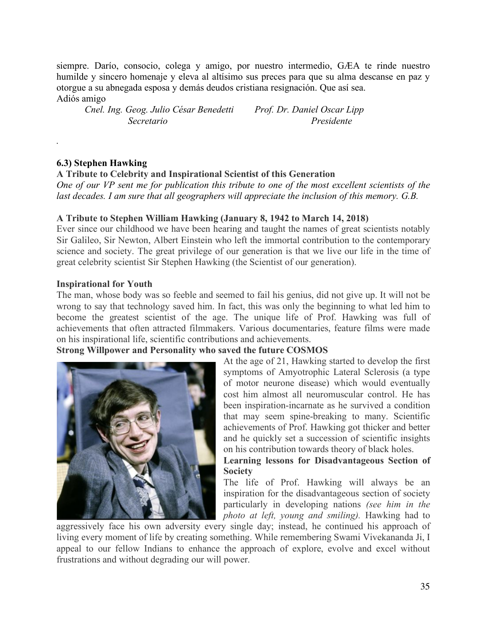siempre. Darío, consocio, colega y amigo, por nuestro intermedio, GÆA te rinde nuestro humilde y sincero homenaje y eleva al altísimo sus preces para que su alma descanse en paz y otorgue a su abnegada esposa y demás deudos cristiana resignación. Que así sea. Adiós amigo

*Cnel. Ing. Geog. Julio César Benedetti Prof. Dr. Daniel Oscar Lipp Secretario Presidente*

### **6.3) Stephen Hawking**

*.*

#### **A Tribute to Celebrity and Inspirational Scientist of this Generation**

*One of our VP sent me for publication this tribute to one of the most excellent scientists of the last decades. I am sure that all geographers will appreciate the inclusion of this memory. G.B.*

#### **A Tribute to Stephen William Hawking (January 8, 1942 to March 14, 2018)**

Ever since our childhood we have been hearing and taught the names of great scientists notably Sir Galileo, Sir Newton, Albert Einstein who left the immortal contribution to the contemporary science and society. The great privilege of our generation is that we live our life in the time of great celebrity scientist Sir Stephen Hawking (the Scientist of our generation).

#### **Inspirational for Youth**

The man, whose body was so feeble and seemed to fail his genius, did not give up. It will not be wrong to say that technology saved him. In fact, this was only the beginning to what led him to become the greatest scientist of the age. The unique life of Prof. Hawking was full of achievements that often attracted filmmakers. Various documentaries, feature films were made on his inspirational life, scientific contributions and achievements.

### **Strong Willpower and Personality who saved the future COSMOS**



At the age of 21, Hawking started to develop the first symptoms of Amyotrophic Lateral Sclerosis (a type of motor neurone disease) which would eventually cost him almost all neuromuscular control. He has been inspiration-incarnate as he survived a condition that may seem spine-breaking to many. Scientific achievements of Prof. Hawking got thicker and better and he quickly set a succession of scientific insights on his contribution towards theory of black holes.

### **Learning lessons for Disadvantageous Section of Society**

The life of Prof. Hawking will always be an inspiration for the disadvantageous section of society particularly in developing nations *(see him in the photo at left, young and smiling).* Hawking had to

aggressively face his own adversity every single day; instead, he continued his approach of living every moment of life by creating something. While remembering Swami Vivekananda Ji, I appeal to our fellow Indians to enhance the approach of explore, evolve and excel without frustrations and without degrading our will power.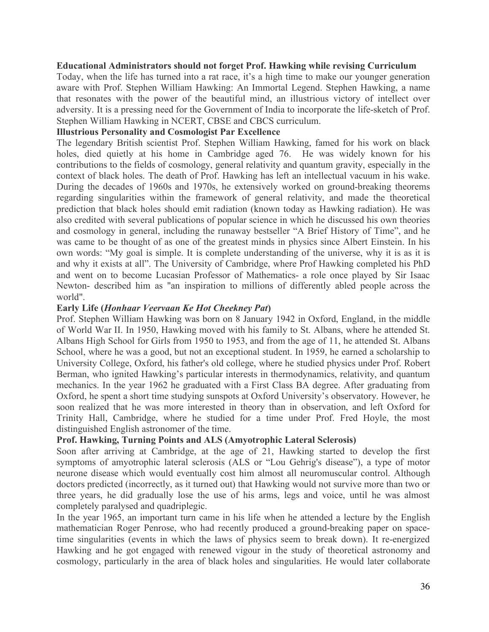#### **Educational Administrators should not forget Prof. Hawking while revising Curriculum**

Today, when the life has turned into a rat race, it's a high time to make our younger generation aware with Prof. Stephen William Hawking: An Immortal Legend. Stephen Hawking, a name that resonates with the power of the beautiful mind, an illustrious victory of intellect over adversity. It is a pressing need for the Government of India to incorporate the life-sketch of Prof. Stephen William Hawking in NCERT, CBSE and CBCS curriculum.

## **Illustrious Personality and Cosmologist Par Excellence**

The legendary British scientist Prof. Stephen William Hawking, famed for his work on black holes, died quietly at his home in Cambridge aged 76. He was widely known for his contributions to the fields of cosmology, general relativity and quantum gravity, especially in the context of black holes. The death of Prof. Hawking has left an intellectual vacuum in his wake. During the decades of 1960s and 1970s, he extensively worked on ground-breaking theorems regarding singularities within the framework of general relativity, and made the theoretical prediction that black holes should emit radiation (known today as Hawking radiation). He was also credited with several publications of popular science in which he discussed his own theories and cosmology in general, including the runaway bestseller "A Brief History of Time", and he was came to be thought of as one of the greatest minds in physics since Albert Einstein. In his own words: "My goal is simple. It is complete understanding of the universe, why it is as it is and why it exists at all". The University of Cambridge, where Prof Hawking completed his PhD and went on to become Lucasian Professor of Mathematics- a role once played by Sir Isaac Newton- described him as "an inspiration to millions of differently abled people across the world".

#### **Early Life (***Honhaar Veervaan Ke Hot Cheekney Pat***)**

Prof. Stephen William Hawking was born on 8 January 1942 in Oxford, England, in the middle of World War II. In 1950, Hawking moved with his family to St. Albans, where he attended St. Albans High School for Girls from 1950 to 1953, and from the age of 11, he attended St. Albans School, where he was a good, but not an exceptional student. In 1959, he earned a scholarship to University College, Oxford, his father's old college, where he studied physics under Prof. Robert Berman, who ignited Hawking's particular interests in thermodynamics, relativity, and quantum mechanics. In the year 1962 he graduated with a First Class BA degree. After graduating from Oxford, he spent a short time studying sunspots at Oxford University's observatory. However, he soon realized that he was more interested in theory than in observation, and left Oxford for Trinity Hall, Cambridge, where he studied for a time under Prof. Fred Hoyle, the most distinguished English astronomer of the time.

### **Prof. Hawking, Turning Points and ALS (Amyotrophic Lateral Sclerosis)**

Soon after arriving at Cambridge, at the age of 21, Hawking started to develop the first symptoms of amyotrophic lateral sclerosis (ALS or "Lou Gehrig's disease"), a type of motor neurone disease which would eventually cost him almost all neuromuscular control. Although doctors predicted (incorrectly, as it turned out) that Hawking would not survive more than two or three years, he did gradually lose the use of his arms, legs and voice, until he was almost completely paralysed and quadriplegic.

In the year 1965, an important turn came in his life when he attended a lecture by the English mathematician Roger Penrose, who had recently produced a ground-breaking paper on spacetime singularities (events in which the laws of physics seem to break down). It re-energized Hawking and he got engaged with renewed vigour in the study of theoretical astronomy and cosmology, particularly in the area of black holes and singularities. He would later collaborate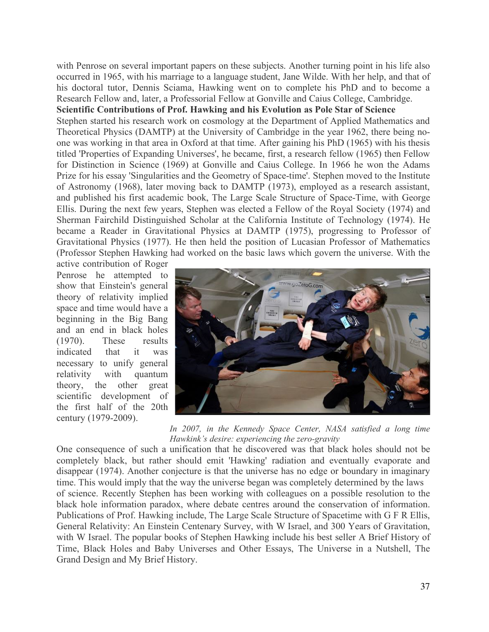with Penrose on several important papers on these subjects. Another turning point in his life also occurred in 1965, with his marriage to a language student, Jane Wilde. With her help, and that of his doctoral tutor, Dennis Sciama, Hawking went on to complete his PhD and to become a Research Fellow and, later, a Professorial Fellow at Gonville and Caius College, Cambridge.

## **Scientific Contributions of Prof. Hawking and his Evolution as Pole Star of Science**

Stephen started his research work on cosmology at the Department of Applied Mathematics and Theoretical Physics (DAMTP) at the University of Cambridge in the year 1962, there being noone was working in that area in Oxford at that time. After gaining his PhD (1965) with his thesis titled 'Properties of Expanding Universes', he became, first, a research fellow (1965) then Fellow for Distinction in Science (1969) at Gonville and Caius College. In 1966 he won the Adams Prize for his essay 'Singularities and the Geometry of Space-time'. Stephen moved to the Institute of Astronomy (1968), later moving back to DAMTP (1973), employed as a research assistant, and published his first academic book, The Large Scale Structure of Space-Time, with George Ellis. During the next few years, Stephen was elected a Fellow of the Royal Society (1974) and Sherman Fairchild Distinguished Scholar at the California Institute of Technology (1974). He became a Reader in Gravitational Physics at DAMTP (1975), progressing to Professor of Gravitational Physics (1977). He then held the position of Lucasian Professor of Mathematics (Professor Stephen Hawking had worked on the basic laws which govern the universe. With the

active contribution of Roger Penrose he attempted to show that Einstein's general theory of relativity implied space and time would have a beginning in the Big Bang and an end in black holes (1970). These results indicated that it was necessary to unify general relativity with quantum theory, the other great scientific development of the first half of the 20th century (1979-2009).



*In 2007, in the Kennedy Space Center, NASA satisfied a long time Hawkink's desire: experiencing the zero-gravity*

One consequence of such a unification that he discovered was that black holes should not be completely black, but rather should emit 'Hawking' radiation and eventually evaporate and disappear (1974). Another conjecture is that the universe has no edge or boundary in imaginary time. This would imply that the way the universe began was completely determined by the laws of science. Recently Stephen has been working with colleagues on a possible resolution to the black hole information paradox, where debate centres around the conservation of information. Publications of Prof. Hawking include, The Large Scale Structure of Spacetime with G F R Ellis, General Relativity: An Einstein Centenary Survey, with W Israel, and 300 Years of Gravitation, with W Israel. The popular books of Stephen Hawking include his best seller A Brief History of Time, Black Holes and Baby Universes and Other Essays, The Universe in a Nutshell, The Grand Design and My Brief History.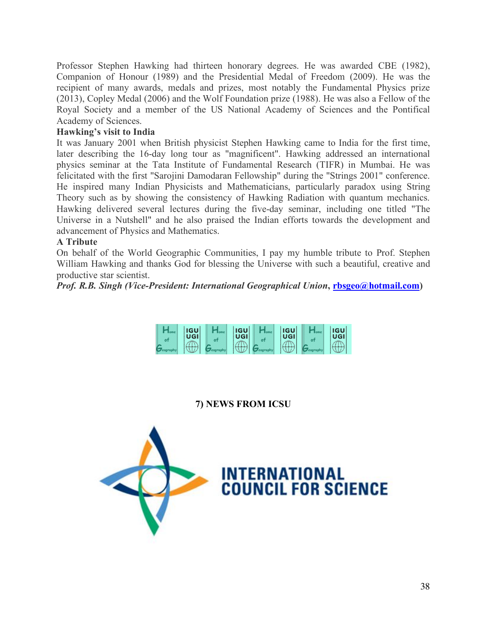Professor Stephen Hawking had thirteen honorary degrees. He was awarded CBE (1982), Companion of Honour (1989) and the Presidential Medal of Freedom (2009). He was the recipient of many awards, medals and prizes, most notably the Fundamental Physics prize (2013), Copley Medal (2006) and the Wolf Foundation prize (1988). He was also a Fellow of the Royal Society and a member of the US National Academy of Sciences and the Pontifical Academy of Sciences.

#### **Hawking's visit to India**

It was January 2001 when British physicist Stephen Hawking came to India for the first time, later describing the 16-day long tour as "magnificent". Hawking addressed an international physics seminar at the Tata Institute of Fundamental Research (TIFR) in Mumbai. He was felicitated with the first "Sarojini Damodaran Fellowship" during the "Strings 2001" conference. He inspired many Indian Physicists and Mathematicians, particularly paradox using String Theory such as by showing the consistency of Hawking Radiation with quantum mechanics. Hawking delivered several lectures during the five-day seminar, including one titled "The Universe in a Nutshell" and he also praised the Indian efforts towards the development and advancement of Physics and Mathematics.

### **A Tribute**

On behalf of the World Geographic Communities, I pay my humble tribute to Prof. Stephen William Hawking and thanks God for blessing the Universe with such a beautiful, creative and productive star scientist.

*Prof. R.B. Singh (Vice-President: International Geographical Union, rbsgeo@hotmail.com)* 

|  | <b>IGU</b> | <b>IGU</b> | <b>IGU</b> | <b>IGU</b> |
|--|------------|------------|------------|------------|
|  | UGI        | UGI        | UGI        | UGI        |
|  |            |            |            |            |

#### **7) NEWS FROM ICSU**

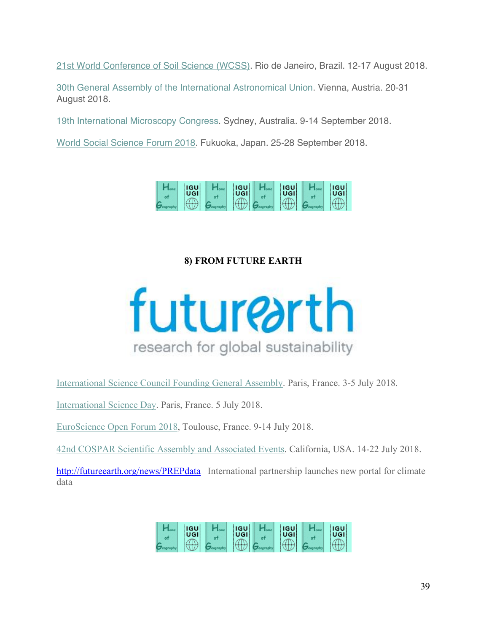21st World Conference of Soil Science (WCSS). Rio de Janeiro, Brazil. 12-17 August 2018.

30th General Assembly of the International Astronomical Union. Vienna, Austria. 20-31 August 2018.

19th International Microscopy Congress. Sydney, Australia. 9-14 September 2018.

World Social Science Forum 2018. Fukuoka, Japan. 25-28 September 2018.



# **8) FROM FUTURE EARTH**



International Science Council Founding General Assembly. Paris, France. 3-5 July 2018.

International Science Day. Paris, France. 5 July 2018.

EuroScience Open Forum 2018, Toulouse, France. 9-14 July 2018.

42nd COSPAR Scientific Assembly and Associated Events. California, USA. 14-22 July 2018.

http://futureearth.org/news/PREPdata International partnership launches new portal for climate data